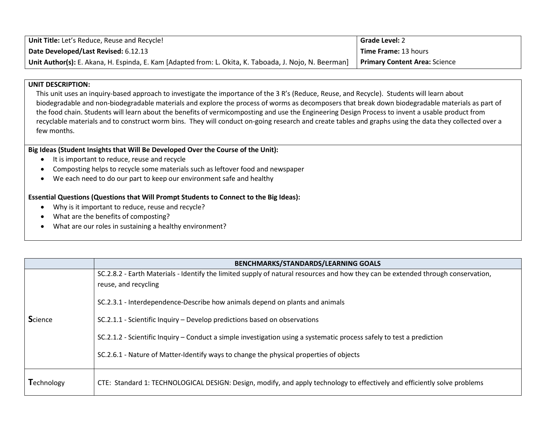| Unit Title: Let's Reduce, Reuse and Recycle!                                                           | <b>Grade Level: 2</b>                |
|--------------------------------------------------------------------------------------------------------|--------------------------------------|
| Date Developed/Last Revised: 6.12.13                                                                   | l <b>Time Frame:</b> 13 hours        |
| Unit Author(s): E. Akana, H. Espinda, E. Kam [Adapted from: L. Okita, K. Taboada, J. Nojo, N. Beerman] | <b>Primary Content Area: Science</b> |

#### **UNIT DESCRIPTION:**

This unit uses an inquiry-based approach to investigate the importance of the 3 R's (Reduce, Reuse, and Recycle). Students will learn about biodegradable and non-biodegradable materials and explore the process of worms as decomposers that break down biodegradable materials as part of the food chain. Students will learn about the benefits of vermicomposting and use the Engineering Design Process to invent a usable product from recyclable materials and to construct worm bins. They will conduct on-going research and create tables and graphs using the data they collected over a few months.

#### **Big Ideas (Student Insights that Will Be Developed Over the Course of the Unit):**

- It is important to reduce, reuse and recycle
- Composting helps to recycle some materials such as leftover food and newspaper
- We each need to do our part to keep our environment safe and healthy

#### **Essential Questions (Questions that Will Prompt Students to Connect to the Big Ideas):**

- Why is it important to reduce, reuse and recycle?
- What are the benefits of composting?
- What are our roles in sustaining a healthy environment?

|                | <b>BENCHMARKS/STANDARDS/LEARNING GOALS</b>                                                                                                               |
|----------------|----------------------------------------------------------------------------------------------------------------------------------------------------------|
|                | SC.2.8.2 - Earth Materials - Identify the limited supply of natural resources and how they can be extended through conservation,<br>reuse, and recycling |
|                | SC.2.3.1 - Interdependence-Describe how animals depend on plants and animals                                                                             |
| <b>Science</b> | SC.2.1.1 - Scientific Inquiry – Develop predictions based on observations                                                                                |
|                | SC.2.1.2 - Scientific Inquiry – Conduct a simple investigation using a systematic process safely to test a prediction                                    |
|                | SC.2.6.1 - Nature of Matter-Identify ways to change the physical properties of objects                                                                   |
| Technology     | CTE: Standard 1: TECHNOLOGICAL DESIGN: Design, modify, and apply technology to effectively and efficiently solve problems                                |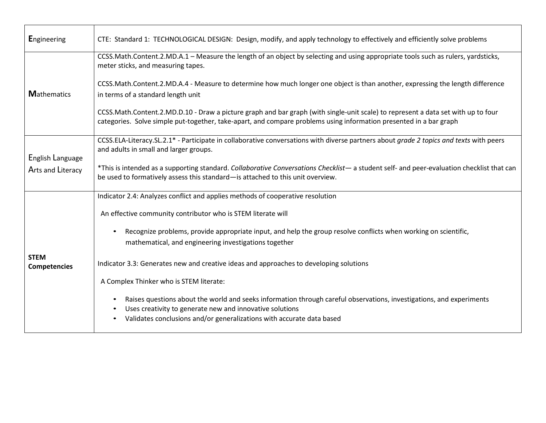| <b>Engineering</b>                 | CTE: Standard 1: TECHNOLOGICAL DESIGN: Design, modify, and apply technology to effectively and efficiently solve problems                                                                                                                                                                        |  |  |
|------------------------------------|--------------------------------------------------------------------------------------------------------------------------------------------------------------------------------------------------------------------------------------------------------------------------------------------------|--|--|
|                                    | CCSS.Math.Content.2.MD.A.1 - Measure the length of an object by selecting and using appropriate tools such as rulers, yardsticks,<br>meter sticks, and measuring tapes.                                                                                                                          |  |  |
| <b>Mathematics</b>                 | CCSS.Math.Content.2.MD.A.4 - Measure to determine how much longer one object is than another, expressing the length difference<br>in terms of a standard length unit                                                                                                                             |  |  |
|                                    | CCSS.Math.Content.2.MD.D.10 - Draw a picture graph and bar graph (with single-unit scale) to represent a data set with up to four<br>categories. Solve simple put-together, take-apart, and compare problems using information presented in a bar graph                                          |  |  |
| English Language                   | CCSS.ELA-Literacy.SL.2.1* - Participate in collaborative conversations with diverse partners about grade 2 topics and texts with peers<br>and adults in small and larger groups.                                                                                                                 |  |  |
| Arts and Literacy                  | *This is intended as a supporting standard. Collaborative Conversations Checklist - a student self- and peer-evaluation checklist that can<br>be used to formatively assess this standard-is attached to this unit overview.                                                                     |  |  |
|                                    | Indicator 2.4: Analyzes conflict and applies methods of cooperative resolution                                                                                                                                                                                                                   |  |  |
|                                    | An effective community contributor who is STEM literate will                                                                                                                                                                                                                                     |  |  |
|                                    | Recognize problems, provide appropriate input, and help the group resolve conflicts when working on scientific,<br>$\bullet$<br>mathematical, and engineering investigations together                                                                                                            |  |  |
| <b>STEM</b><br><b>Competencies</b> | Indicator 3.3: Generates new and creative ideas and approaches to developing solutions                                                                                                                                                                                                           |  |  |
|                                    | A Complex Thinker who is STEM literate:                                                                                                                                                                                                                                                          |  |  |
|                                    | Raises questions about the world and seeks information through careful observations, investigations, and experiments<br>$\bullet$<br>Uses creativity to generate new and innovative solutions<br>$\bullet$<br>Validates conclusions and/or generalizations with accurate data based<br>$\bullet$ |  |  |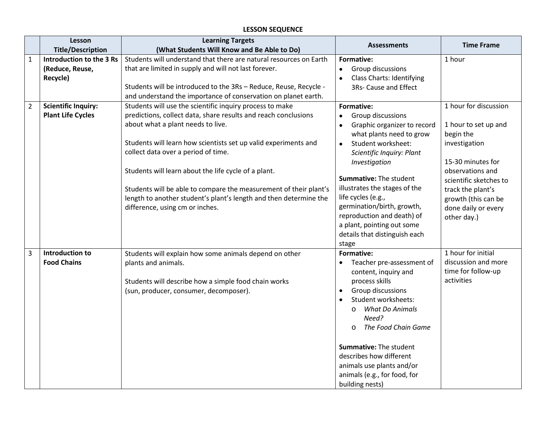# **LESSON SEQUENCE**

|                | Lesson                                                  | <b>Learning Targets</b>                                                                                                                                                                                                                                                                                                                                                                                                                                                                                                                                                          | <b>Assessments</b>                                                                                                                                                                                                                                                                                                                                                                                                                | <b>Time Frame</b>                                                                                                                                                                                                                |
|----------------|---------------------------------------------------------|----------------------------------------------------------------------------------------------------------------------------------------------------------------------------------------------------------------------------------------------------------------------------------------------------------------------------------------------------------------------------------------------------------------------------------------------------------------------------------------------------------------------------------------------------------------------------------|-----------------------------------------------------------------------------------------------------------------------------------------------------------------------------------------------------------------------------------------------------------------------------------------------------------------------------------------------------------------------------------------------------------------------------------|----------------------------------------------------------------------------------------------------------------------------------------------------------------------------------------------------------------------------------|
|                | <b>Title/Description</b>                                | (What Students Will Know and Be Able to Do)                                                                                                                                                                                                                                                                                                                                                                                                                                                                                                                                      |                                                                                                                                                                                                                                                                                                                                                                                                                                   |                                                                                                                                                                                                                                  |
| 1              | Introduction to the 3 Rs<br>(Reduce, Reuse,<br>Recycle) | Students will understand that there are natural resources on Earth<br>that are limited in supply and will not last forever.<br>Students will be introduced to the 3Rs - Reduce, Reuse, Recycle -                                                                                                                                                                                                                                                                                                                                                                                 | Formative:<br>Group discussions<br>$\bullet$<br><b>Class Charts: Identifying</b><br>3Rs- Cause and Effect                                                                                                                                                                                                                                                                                                                         | 1 hour                                                                                                                                                                                                                           |
| $\overline{2}$ | <b>Scientific Inquiry:</b><br><b>Plant Life Cycles</b>  | and understand the importance of conservation on planet earth.<br>Students will use the scientific inquiry process to make<br>predictions, collect data, share results and reach conclusions<br>about what a plant needs to live.<br>Students will learn how scientists set up valid experiments and<br>collect data over a period of time.<br>Students will learn about the life cycle of a plant.<br>Students will be able to compare the measurement of their plant's<br>length to another student's plant's length and then determine the<br>difference, using cm or inches. | Formative:<br>Group discussions<br>$\bullet$<br>Graphic organizer to record<br>$\bullet$<br>what plants need to grow<br>Student worksheet:<br>$\bullet$<br>Scientific Inquiry: Plant<br>Investigation<br><b>Summative: The student</b><br>illustrates the stages of the<br>life cycles (e.g.,<br>germination/birth, growth,<br>reproduction and death) of<br>a plant, pointing out some<br>details that distinguish each<br>stage | 1 hour for discussion<br>1 hour to set up and<br>begin the<br>investigation<br>15-30 minutes for<br>observations and<br>scientific sketches to<br>track the plant's<br>growth (this can be<br>done daily or every<br>other day.) |
| 3              | Introduction to<br><b>Food Chains</b>                   | Students will explain how some animals depend on other<br>plants and animals.<br>Students will describe how a simple food chain works<br>(sun, producer, consumer, decomposer).                                                                                                                                                                                                                                                                                                                                                                                                  | <b>Formative:</b><br>Teacher pre-assessment of<br>content, inquiry and<br>process skills<br>Group discussions<br>$\bullet$<br>Student worksheets:<br>$\bullet$<br><b>What Do Animals</b><br>$\circ$<br>Need?<br>The Food Chain Game<br>$\Omega$<br>Summative: The student<br>describes how different<br>animals use plants and/or<br>animals (e.g., for food, for<br>building nests)                                              | 1 hour for initial<br>discussion and more<br>time for follow-up<br>activities                                                                                                                                                    |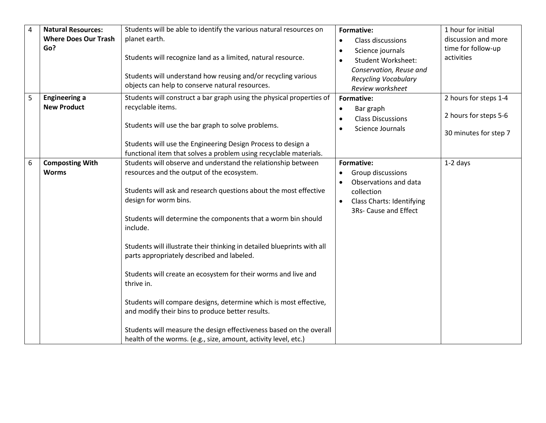| $\overline{4}$ | <b>Natural Resources:</b>                  | Students will be able to identify the various natural resources on                                                                                                      | Formative:                                                                                                    | 1 hour for initial                             |
|----------------|--------------------------------------------|-------------------------------------------------------------------------------------------------------------------------------------------------------------------------|---------------------------------------------------------------------------------------------------------------|------------------------------------------------|
|                | <b>Where Does Our Trash</b>                | planet earth.                                                                                                                                                           | Class discussions<br>$\bullet$                                                                                | discussion and more                            |
|                | Go?                                        | Students will recognize land as a limited, natural resource.                                                                                                            | Science journals<br>$\bullet$<br><b>Student Worksheet:</b><br>$\bullet$                                       | time for follow-up<br>activities               |
|                |                                            | Students will understand how reusing and/or recycling various<br>objects can help to conserve natural resources.                                                        | Conservation, Reuse and<br><b>Recycling Vocabulary</b><br>Review worksheet                                    |                                                |
| 5              | <b>Engineering a</b><br><b>New Product</b> | Students will construct a bar graph using the physical properties of<br>recyclable items.                                                                               | Formative:<br>Bar graph<br>$\bullet$<br><b>Class Discussions</b><br>$\bullet$                                 | 2 hours for steps 1-4<br>2 hours for steps 5-6 |
|                |                                            | Students will use the bar graph to solve problems.                                                                                                                      | Science Journals<br>$\bullet$                                                                                 | 30 minutes for step 7                          |
|                |                                            | Students will use the Engineering Design Process to design a<br>functional item that solves a problem using recyclable materials.                                       |                                                                                                               |                                                |
| 6              | <b>Composting With</b>                     | Students will observe and understand the relationship between                                                                                                           | Formative:                                                                                                    | $1-2$ days                                     |
|                | <b>Worms</b>                               | resources and the output of the ecosystem.                                                                                                                              | Group discussions<br>$\bullet$                                                                                |                                                |
|                |                                            | Students will ask and research questions about the most effective<br>design for worm bins.<br>Students will determine the components that a worm bin should<br>include. | Observations and data<br>collection<br><b>Class Charts: Identifying</b><br>$\bullet$<br>3Rs- Cause and Effect |                                                |
|                |                                            | Students will illustrate their thinking in detailed blueprints with all<br>parts appropriately described and labeled.                                                   |                                                                                                               |                                                |
|                |                                            | Students will create an ecosystem for their worms and live and<br>thrive in.                                                                                            |                                                                                                               |                                                |
|                |                                            | Students will compare designs, determine which is most effective,<br>and modify their bins to produce better results.                                                   |                                                                                                               |                                                |
|                |                                            | Students will measure the design effectiveness based on the overall<br>health of the worms. (e.g., size, amount, activity level, etc.)                                  |                                                                                                               |                                                |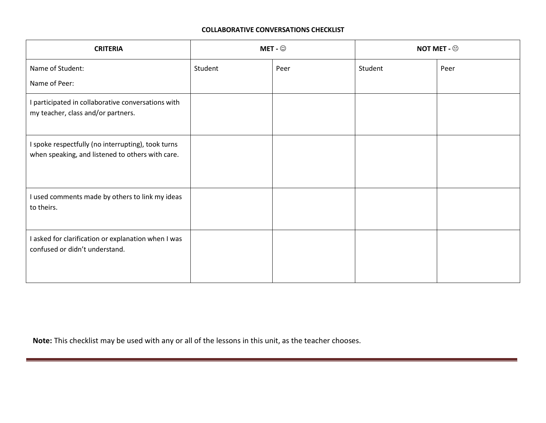#### **COLLABORATIVE CONVERSATIONS CHECKLIST**

| <b>CRITERIA</b>                                                                                        | MET - $\odot$ |      | NOT MET - $\oplus$ |      |
|--------------------------------------------------------------------------------------------------------|---------------|------|--------------------|------|
| Name of Student:<br>Name of Peer:                                                                      | Student       | Peer | Student            | Peer |
| I participated in collaborative conversations with<br>my teacher, class and/or partners.               |               |      |                    |      |
| I spoke respectfully (no interrupting), took turns<br>when speaking, and listened to others with care. |               |      |                    |      |
| I used comments made by others to link my ideas<br>to theirs.                                          |               |      |                    |      |
| I asked for clarification or explanation when I was<br>confused or didn't understand.                  |               |      |                    |      |

**Note:** This checklist may be used with any or all of the lessons in this unit, as the teacher chooses.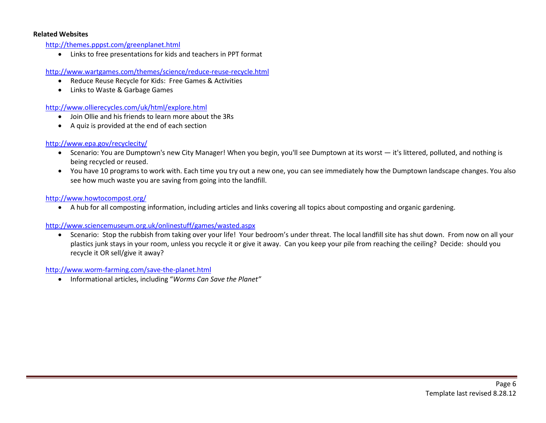#### **Related Websites**

<http://themes.pppst.com/greenplanet.html>

• Links to free presentations for kids and teachers in PPT format

<http://www.wartgames.com/themes/science/reduce-reuse-recycle.html>

- Reduce Reuse Recycle for Kids: Free Games & Activities
- Links to Waste & Garbage Games

<http://www.ollierecycles.com/uk/html/explore.html>

- Join Ollie and his friends to learn more about the 3Rs
- A quiz is provided at the end of each section

#### <http://www.epa.gov/recyclecity/>

- Scenario: You are Dumptown's new City Manager! When you begin, you'll see Dumptown at its worst it's littered, polluted, and nothing is being recycled or reused.
- You have 10 programs to work with. Each time you try out a new one, you can see immediately how the Dumptown landscape changes. You also see how much waste you are saving from going into the landfill.

#### <http://www.howtocompost.org/>

• A hub for all composting information, including articles and links covering all topics about composting and organic gardening.

#### <http://www.sciencemuseum.org.uk/onlinestuff/games/wasted.aspx>

• Scenario: Stop the rubbish from taking over your life! Your bedroom's under threat. The local landfill site has shut down. From now on all your plastics junk stays in your room, unless you recycle it or give it away. Can you keep your pile from reaching the ceiling? Decide: should you recycle it OR sell/give it away?

<http://www.worm-farming.com/save-the-planet.html>

• Informational articles, including "*Worms Can Save the Planet"*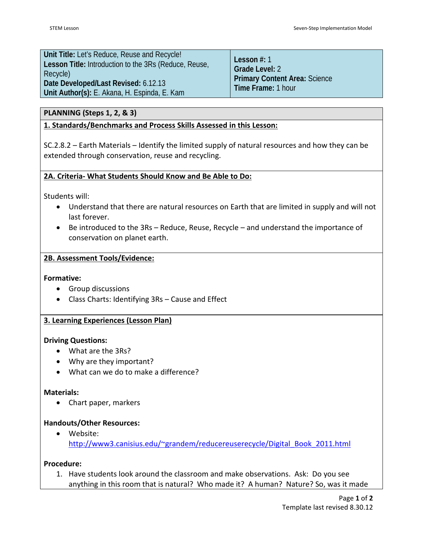**Unit Title:** Let's Reduce, Reuse and Recycle! **Lesson Title:** Introduction to the 3Rs (Reduce, Reuse, Recycle) **Date Developed/Last Revised:** 6.12.13 **Unit Author(s):** E. Akana, H. Espinda, E. Kam

**Lesson #:** 1 **Grade Level:** 2 **Primary Content Area:** Science **Time Frame:** 1 hour

# **PLANNING (Steps 1, 2, & 3)**

# **1. Standards/Benchmarks and Process Skills Assessed in this Lesson:**

SC.2.8.2 – Earth Materials – Identify the limited supply of natural resources and how they can be extended through conservation, reuse and recycling.

# **2A. Criteria- What Students Should Know and Be Able to Do:**

Students will:

- Understand that there are natural resources on Earth that are limited in supply and will not last forever.
- Be introduced to the 3Rs Reduce, Reuse, Recycle and understand the importance of conservation on planet earth.

# **2B. Assessment Tools/Evidence:**

#### **Formative:**

- Group discussions
- Class Charts: Identifying 3Rs Cause and Effect

# **3. Learning Experiences (Lesson Plan)**

#### **Driving Questions:**

- What are the 3Rs?
- Why are they important?
- What can we do to make a difference?

#### **Materials:**

• Chart paper, markers

# **Handouts/Other Resources:**

• Website: [http://www3.canisius.edu/~grandem/reducereuserecycle/Digital\\_Book\\_2011.html](http://www3.canisius.edu/~grandem/reducereuserecycle/Digital_Book_2011.html)

#### **Procedure:**

1. Have students look around the classroom and make observations. Ask: Do you see anything in this room that is natural? Who made it? A human? Nature? So, was it made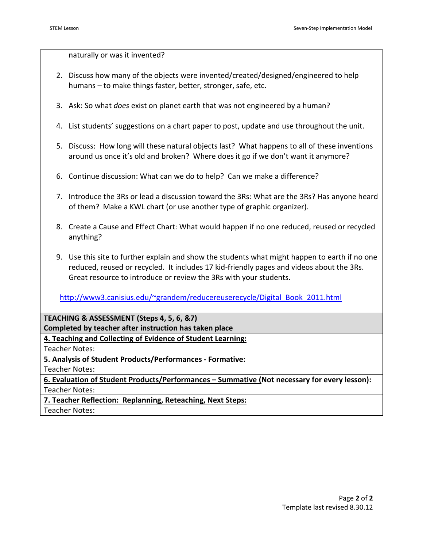naturally or was it invented?

- 2. Discuss how many of the objects were invented/created/designed/engineered to help humans – to make things faster, better, stronger, safe, etc.
- 3. Ask: So what *does* exist on planet earth that was not engineered by a human?
- 4. List students' suggestions on a chart paper to post, update and use throughout the unit.
- 5. Discuss: How long will these natural objects last? What happens to all of these inventions around us once it's old and broken? Where does it go if we don't want it anymore?
- 6. Continue discussion: What can we do to help? Can we make a difference?
- 7. Introduce the 3Rs or lead a discussion toward the 3Rs: What are the 3Rs? Has anyone heard of them? Make a KWL chart (or use another type of graphic organizer).
- 8. Create a Cause and Effect Chart: What would happen if no one reduced, reused or recycled anything?
- 9. Use this site to further explain and show the students what might happen to earth if no one reduced, reused or recycled. It includes 17 kid-friendly pages and videos about the 3Rs. Great resource to introduce or review the 3Rs with your students.

[http://www3.canisius.edu/~grandem/reducereuserecycle/Digital\\_Book\\_2011.html](http://www3.canisius.edu/~grandem/reducereuserecycle/Digital_Book_2011.html)

**TEACHING & ASSESSMENT (Steps 4, 5, 6, &7)**

**Completed by teacher after instruction has taken place**

**4. Teaching and Collecting of Evidence of Student Learning:**

Teacher Notes:

**5. Analysis of Student Products/Performances - Formative:**

Teacher Notes:

**6. Evaluation of Student Products/Performances – Summative (Not necessary for every lesson):** Teacher Notes:

**7. Teacher Reflection: Replanning, Reteaching, Next Steps:**

Teacher Notes: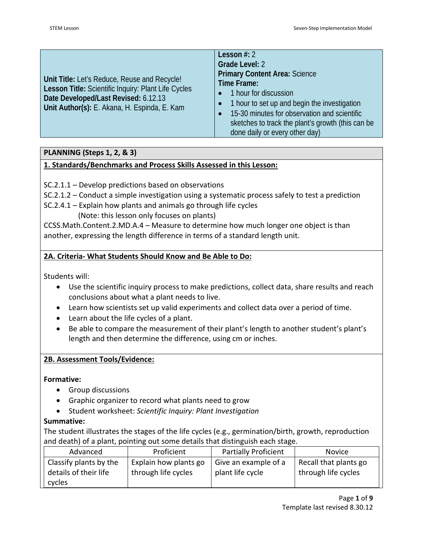| Unit Title: Let's Reduce, Reuse and Recycle!<br>Lesson Title: Scientific Inquiry: Plant Life Cycles<br>Date Developed/Last Revised: 6.12.13<br>Unit Author(s): E. Akana, H. Espinda, E. Kam | Lesson $#: 2$<br>Grade Level: 2<br><b>Primary Content Area: Science</b><br>Time Frame:<br>1 hour for discussion<br>1 hour to set up and begin the investigation<br>15-30 minutes for observation and scientific<br>sketches to track the plant's growth (this can be<br>done daily or every other day) |
|---------------------------------------------------------------------------------------------------------------------------------------------------------------------------------------------|--------------------------------------------------------------------------------------------------------------------------------------------------------------------------------------------------------------------------------------------------------------------------------------------------------|
|---------------------------------------------------------------------------------------------------------------------------------------------------------------------------------------------|--------------------------------------------------------------------------------------------------------------------------------------------------------------------------------------------------------------------------------------------------------------------------------------------------------|

# **PLANNING (Steps 1, 2, & 3)**

# **1. Standards/Benchmarks and Process Skills Assessed in this Lesson:**

SC.2.1.1 – Develop predictions based on observations

SC.2.1.2 – Conduct a simple investigation using a systematic process safely to test a prediction

- SC.2.4.1 Explain how plants and animals go through life cycles
	- (Note: this lesson only focuses on plants)

CCSS.Math.Content.2.MD.A.4 – Measure to determine how much longer one object is than another, expressing the length difference in terms of a standard length unit.

# **2A. Criteria- What Students Should Know and Be Able to Do:**

Students will:

- Use the scientific inquiry process to make predictions, collect data, share results and reach conclusions about what a plant needs to live.
- Learn how scientists set up valid experiments and collect data over a period of time.
- Learn about the life cycles of a plant.
- Be able to compare the measurement of their plant's length to another student's plant's length and then determine the difference, using cm or inches.

# **2B. Assessment Tools/Evidence:**

# **Formative:**

- Group discussions
- Graphic organizer to record what plants need to grow
- Student worksheet: *Scientific Inquiry: Plant Investigation*

# **Summative:**

The student illustrates the stages of the life cycles (e.g., germination/birth, growth, reproduction and death) of a plant, pointing out some details that distinguish each stage.

| Advanced               | Proficient            | <b>Partially Proficient</b> | <b>Novice</b>         |
|------------------------|-----------------------|-----------------------------|-----------------------|
| Classify plants by the | Explain how plants go | Give an example of a        | Recall that plants go |
| details of their life  | through life cycles   | plant life cycle            | through life cycles   |
| cycles                 |                       |                             |                       |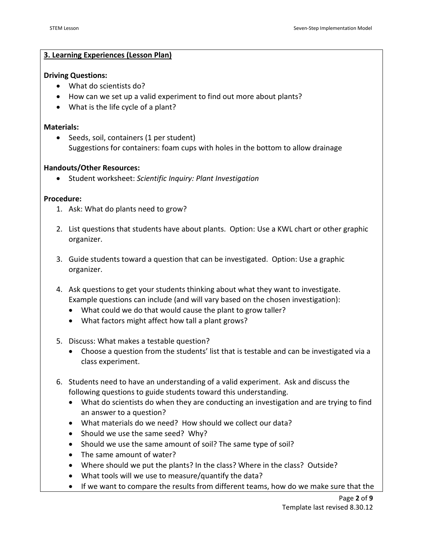#### **3. Learning Experiences (Lesson Plan)**

#### **Driving Questions:**

- What do scientists do?
- How can we set up a valid experiment to find out more about plants?
- What is the life cycle of a plant?

#### **Materials:**

• Seeds, soil, containers (1 per student) Suggestions for containers: foam cups with holes in the bottom to allow drainage

#### **Handouts/Other Resources:**

• Student worksheet: *Scientific Inquiry: Plant Investigation*

#### **Procedure:**

- 1. Ask: What do plants need to grow?
- 2. List questions that students have about plants. Option: Use a KWL chart or other graphic organizer.
- 3. Guide students toward a question that can be investigated. Option: Use a graphic organizer.
- 4. Ask questions to get your students thinking about what they want to investigate. Example questions can include (and will vary based on the chosen investigation):
	- What could we do that would cause the plant to grow taller?
	- What factors might affect how tall a plant grows?
- 5. Discuss: What makes a testable question?
	- Choose a question from the students' list that is testable and can be investigated via a class experiment.
- 6. Students need to have an understanding of a valid experiment. Ask and discuss the following questions to guide students toward this understanding.
	- What do scientists do when they are conducting an investigation and are trying to find an answer to a question?
	- What materials do we need? How should we collect our data?
	- Should we use the same seed? Why?
	- Should we use the same amount of soil? The same type of soil?
	- The same amount of water?
	- Where should we put the plants? In the class? Where in the class? Outside?
	- What tools will we use to measure/quantify the data?
	- If we want to compare the results from different teams, how do we make sure that the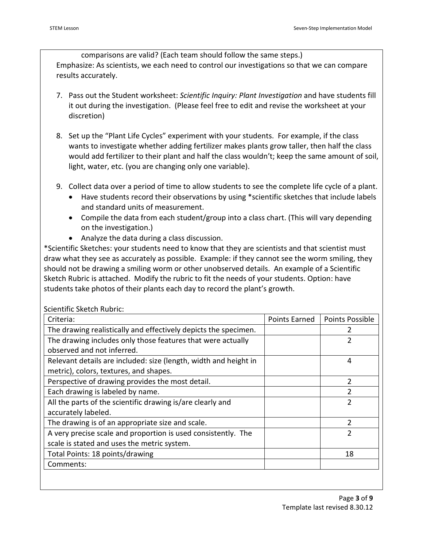comparisons are valid? (Each team should follow the same steps.) Emphasize: As scientists, we each need to control our investigations so that we can compare results accurately.

- 7. Pass out the Student worksheet: *Scientific Inquiry: Plant Investigation* and have students fill it out during the investigation. (Please feel free to edit and revise the worksheet at your discretion)
- 8. Set up the "Plant Life Cycles" experiment with your students. For example, if the class wants to investigate whether adding fertilizer makes plants grow taller, then half the class would add fertilizer to their plant and half the class wouldn't; keep the same amount of soil, light, water, etc. (you are changing only one variable).
- 9. Collect data over a period of time to allow students to see the complete life cycle of a plant.
	- Have students record their observations by using \*scientific sketches that include labels and standard units of measurement.
	- Compile the data from each student/group into a class chart. (This will vary depending on the investigation.)
	- Analyze the data during a class discussion.

\*Scientific Sketches: your students need to know that they are scientists and that scientist must draw what they see as accurately as possible. Example: if they cannot see the worm smiling, they should not be drawing a smiling worm or other unobserved details. An example of a Scientific Sketch Rubric is attached. Modify the rubric to fit the needs of your students. Option: have students take photos of their plants each day to record the plant's growth.

| Criteria:                                                        | Points Earned | Points Possible |
|------------------------------------------------------------------|---------------|-----------------|
| The drawing realistically and effectively depicts the specimen.  |               | 2               |
| The drawing includes only those features that were actually      |               | 2               |
| observed and not inferred.                                       |               |                 |
| Relevant details are included: size (length, width and height in |               | 4               |
| metric), colors, textures, and shapes.                           |               |                 |
| Perspective of drawing provides the most detail.                 |               | 2               |
| Each drawing is labeled by name.                                 |               | $\mathcal{P}$   |
| All the parts of the scientific drawing is/are clearly and       |               | 2               |
| accurately labeled.                                              |               |                 |
| The drawing is of an appropriate size and scale.                 |               | $\mathcal{P}$   |
| A very precise scale and proportion is used consistently. The    |               | $\overline{2}$  |
| scale is stated and uses the metric system.                      |               |                 |
| Total Points: 18 points/drawing                                  |               | 18              |
| Comments:                                                        |               |                 |

# Scientific Sketch Rubric: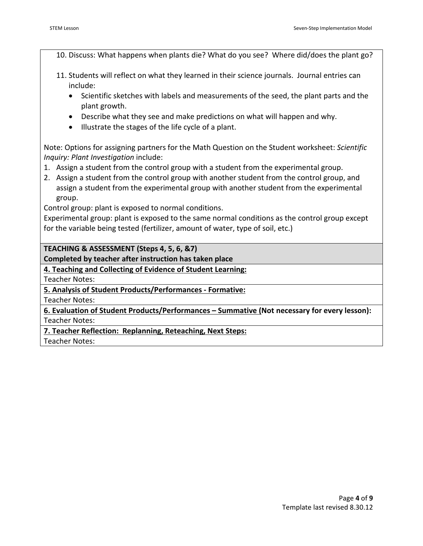10. Discuss: What happens when plants die? What do you see? Where did/does the plant go?

- 11. Students will reflect on what they learned in their science journals. Journal entries can include:
	- Scientific sketches with labels and measurements of the seed, the plant parts and the plant growth.
	- Describe what they see and make predictions on what will happen and why.
	- Illustrate the stages of the life cycle of a plant.

Note: Options for assigning partners for the Math Question on the Student worksheet: *Scientific Inquiry: Plant Investigation* include:

- 1. Assign a student from the control group with a student from the experimental group.
- 2. Assign a student from the control group with another student from the control group, and assign a student from the experimental group with another student from the experimental group.

Control group: plant is exposed to normal conditions.

Experimental group: plant is exposed to the same normal conditions as the control group except for the variable being tested (fertilizer, amount of water, type of soil, etc.)

**TEACHING & ASSESSMENT (Steps 4, 5, 6, &7)**

**Completed by teacher after instruction has taken place**

**4. Teaching and Collecting of Evidence of Student Learning:**

Teacher Notes:

**5. Analysis of Student Products/Performances - Formative:**

Teacher Notes:

**6. Evaluation of Student Products/Performances – Summative (Not necessary for every lesson):** Teacher Notes:

**7. Teacher Reflection: Replanning, Reteaching, Next Steps:**

Teacher Notes: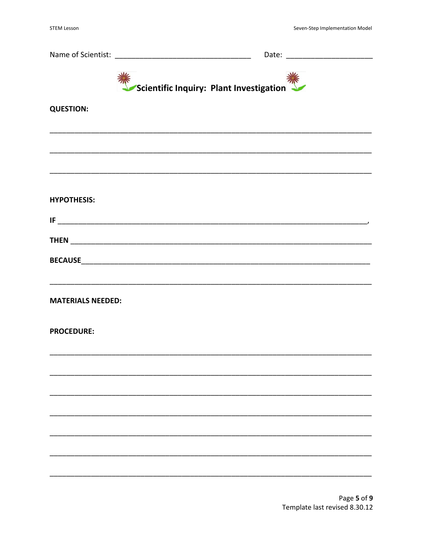| Scientific Inquiry: Plant Investigation |  |
|-----------------------------------------|--|
| <b>QUESTION:</b>                        |  |
|                                         |  |
|                                         |  |
| <b>HYPOTHESIS:</b>                      |  |
|                                         |  |
|                                         |  |
| <b>MATERIALS NEEDED:</b>                |  |
| <b>PROCEDURE:</b>                       |  |
|                                         |  |
|                                         |  |
|                                         |  |
|                                         |  |
|                                         |  |
|                                         |  |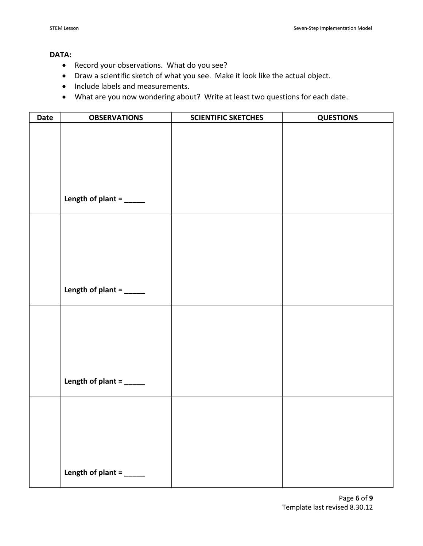#### **DATA:**

- Record your observations.What do you see?
- Draw a scientific sketch of what you see. Make it look like the actual object.
- Include labels and measurements.
- What are you now wondering about? Write at least two questions for each date.

| Date | <b>OBSERVATIONS</b>             | <b>SCIENTIFIC SKETCHES</b> | <b>QUESTIONS</b> |
|------|---------------------------------|----------------------------|------------------|
|      |                                 |                            |                  |
|      |                                 |                            |                  |
|      |                                 |                            |                  |
|      |                                 |                            |                  |
|      |                                 |                            |                  |
|      |                                 |                            |                  |
|      | Length of plant = _____         |                            |                  |
|      |                                 |                            |                  |
|      |                                 |                            |                  |
|      |                                 |                            |                  |
|      |                                 |                            |                  |
|      |                                 |                            |                  |
|      |                                 |                            |                  |
|      | Length of plant = $\frac{1}{2}$ |                            |                  |
|      |                                 |                            |                  |
|      |                                 |                            |                  |
|      |                                 |                            |                  |
|      |                                 |                            |                  |
|      |                                 |                            |                  |
|      |                                 |                            |                  |
|      | Length of plant = _____         |                            |                  |
|      |                                 |                            |                  |
|      |                                 |                            |                  |
|      |                                 |                            |                  |
|      |                                 |                            |                  |
|      |                                 |                            |                  |
|      |                                 |                            |                  |
|      | Length of plant = $\frac{ }{$   |                            |                  |
|      |                                 |                            |                  |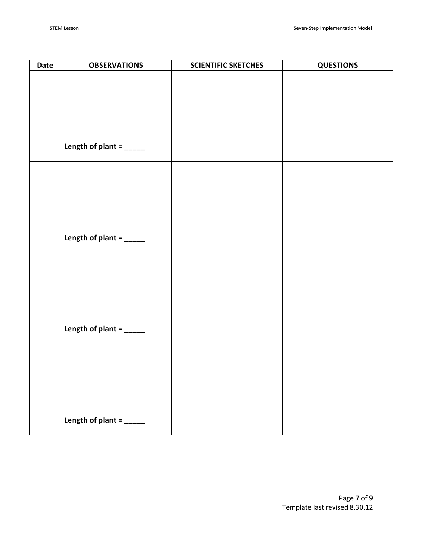| Date | <b>OBSERVATIONS</b>           | <b>SCIENTIFIC SKETCHES</b> | <b>QUESTIONS</b> |
|------|-------------------------------|----------------------------|------------------|
|      |                               |                            |                  |
|      |                               |                            |                  |
|      |                               |                            |                  |
|      |                               |                            |                  |
|      |                               |                            |                  |
|      |                               |                            |                  |
|      | Length of plant = _____       |                            |                  |
|      |                               |                            |                  |
|      |                               |                            |                  |
|      |                               |                            |                  |
|      |                               |                            |                  |
|      |                               |                            |                  |
|      |                               |                            |                  |
|      | Length of plant = $\frac{ }{$ |                            |                  |
|      |                               |                            |                  |
|      |                               |                            |                  |
|      |                               |                            |                  |
|      |                               |                            |                  |
|      |                               |                            |                  |
|      |                               |                            |                  |
|      | Length of plant = _____       |                            |                  |
|      |                               |                            |                  |
|      |                               |                            |                  |
|      |                               |                            |                  |
|      |                               |                            |                  |
|      |                               |                            |                  |
|      |                               |                            |                  |
|      | Length of plant = _____       |                            |                  |
|      |                               |                            |                  |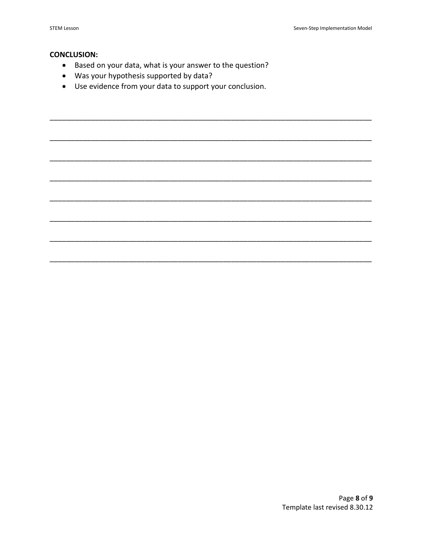#### **CONCLUSION:**

- Based on your data, what is your answer to the question?
- Was your hypothesis supported by data?
- Use evidence from your data to support your conclusion.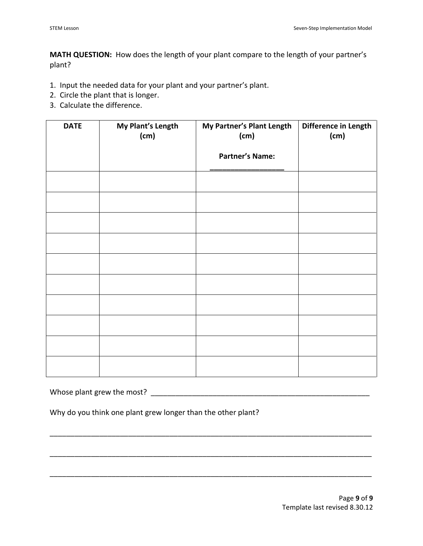**MATH QUESTION:** How does the length of your plant compare to the length of your partner's plant?

- 1. Input the needed data for your plant and your partner's plant.
- 2. Circle the plant that is longer.
- 3. Calculate the difference.

| <b>DATE</b> | My Plant's Length<br>(cm) | My Partner's Plant Length<br>(cm) | Difference in Length<br>(cm) |
|-------------|---------------------------|-----------------------------------|------------------------------|
|             |                           | <b>Partner's Name:</b>            |                              |
|             |                           |                                   |                              |
|             |                           |                                   |                              |
|             |                           |                                   |                              |
|             |                           |                                   |                              |
|             |                           |                                   |                              |
|             |                           |                                   |                              |
|             |                           |                                   |                              |
|             |                           |                                   |                              |
|             |                           |                                   |                              |
|             |                           |                                   |                              |

\_\_\_\_\_\_\_\_\_\_\_\_\_\_\_\_\_\_\_\_\_\_\_\_\_\_\_\_\_\_\_\_\_\_\_\_\_\_\_\_\_\_\_\_\_\_\_\_\_\_\_\_\_\_\_\_\_\_\_\_\_\_\_\_\_\_\_\_\_\_\_\_\_\_\_\_\_\_

\_\_\_\_\_\_\_\_\_\_\_\_\_\_\_\_\_\_\_\_\_\_\_\_\_\_\_\_\_\_\_\_\_\_\_\_\_\_\_\_\_\_\_\_\_\_\_\_\_\_\_\_\_\_\_\_\_\_\_\_\_\_\_\_\_\_\_\_\_\_\_\_\_\_\_\_\_\_

\_\_\_\_\_\_\_\_\_\_\_\_\_\_\_\_\_\_\_\_\_\_\_\_\_\_\_\_\_\_\_\_\_\_\_\_\_\_\_\_\_\_\_\_\_\_\_\_\_\_\_\_\_\_\_\_\_\_\_\_\_\_\_\_\_\_\_\_\_\_\_\_\_\_\_\_\_\_

Whose plant grew the most? \_\_\_\_\_\_\_\_\_\_\_\_\_\_\_\_\_\_\_\_\_\_\_\_\_\_\_\_\_\_\_\_\_\_\_\_\_\_\_\_\_\_\_\_\_\_\_\_\_\_\_\_\_

Why do you think one plant grew longer than the other plant?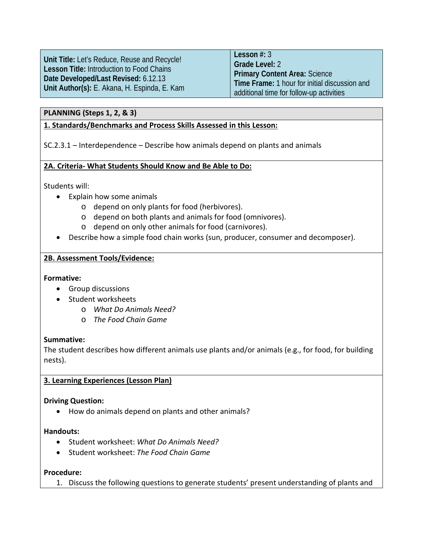|                                                  | Lesson $#: 3$                                 |
|--------------------------------------------------|-----------------------------------------------|
| Unit Title: Let's Reduce, Reuse and Recycle!     | Grade Level: 2                                |
| <b>Lesson Title: Introduction to Food Chains</b> | <b>Primary Content Area: Science</b>          |
| Date Developed/Last Revised: 6.12.13             | Time Frame: 1 hour for initial discussion and |
| Unit Author(s): E. Akana, H. Espinda, E. Kam     | additional time for follow-up activities      |

#### **PLANNING (Steps 1, 2, & 3)**

#### **1. Standards/Benchmarks and Process Skills Assessed in this Lesson:**

SC.2.3.1 – Interdependence – Describe how animals depend on plants and animals

#### **2A. Criteria- What Students Should Know and Be Able to Do:**

Students will:

- Explain how some animals
	- o depend on only plants for food (herbivores).
	- o depend on both plants and animals for food (omnivores).
	- o depend on only other animals for food (carnivores).
- Describe how a simple food chain works (sun, producer, consumer and decomposer).

#### **2B. Assessment Tools/Evidence:**

#### **Formative:**

- Group discussions
- Student worksheets
	- o *What Do Animals Need?*
	- o *The Food Chain Game*

#### **Summative:**

The student describes how different animals use plants and/or animals (e.g., for food, for building nests).

#### **3. Learning Experiences (Lesson Plan)**

#### **Driving Question:**

• How do animals depend on plants and other animals?

#### **Handouts:**

- Student worksheet: *What Do Animals Need?*
- Student worksheet: *The Food Chain Game*

#### **Procedure:**

1. Discuss the following questions to generate students' present understanding of plants and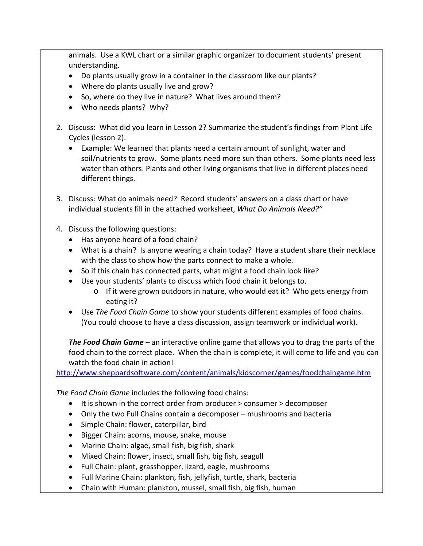animals. Use a KWL chart or a similar graphic organizer to document students' present understanding.

- Do plants usually grow in a container in the classroom like our plants?
- Where do plants usually live and grow?
- So, where do they live in nature? What lives around them?
- Who needs plants? Why?
- 2. Discuss: What did you learn in Lesson 2? Summarize the student's findings from Plant Life Cycles (lesson 2).
	- Example: We learned that plants need a certain amount of sunlight, water and soil/nutrients to grow. Some plants need more sun than others. Some plants need less water than others. Plants and other living organisms that live in different places need different things.
- 3. Discuss: What do animals need? Record students' answers on a class chart or have individual students fill in the attached worksheet, *What Do Animals Need?"*
- 4. Discuss the following questions:
	- Has anyone heard of a food chain?
	- What is a chain? Is anyone wearing a chain today? Have a student share their necklace with the class to show how the parts connect to make a whole.
	- So if this chain has connected parts, what might a food chain look like?
	- Use your students' plants to discuss which food chain it belongs to.
		- o If it were grown outdoors in nature, who would eat it? Who gets energy from eating it?
	- Use *The Food Chain Game* to show your students different examples of food chains. (You could choose to have a class discussion, assign teamwork or individual work).

*The Food Chain Game –* an interactive online game that allows you to drag the parts of the food chain to the correct place. When the chain is complete, it will come to life and you can watch the food chain in action!

<http://www.sheppardsoftware.com/content/animals/kidscorner/games/foodchaingame.htm>

*The Food Chain Game* includes the following food chains:

- It is shown in the correct order from producer > consumer > decomposer
- Only the two Full Chains contain a decomposer mushrooms and bacteria
- Simple Chain: flower, caterpillar, bird
- Bigger Chain: acorns, mouse, snake, mouse
- Marine Chain: algae, small fish, big fish, shark
- Mixed Chain: flower, insect, small fish, big fish, seagull
- Full Chain: plant, grasshopper, lizard, eagle, mushrooms
- Full Marine Chain: plankton, fish, jellyfish, turtle, shark, bacteria
- Chain with Human: plankton, mussel, small fish, big fish, human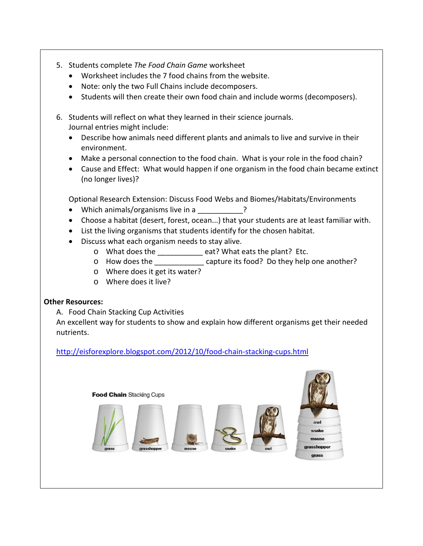- 5. Students complete *The Food Chain Game* worksheet
	- Worksheet includes the 7 food chains from the website.
	- Note: only the two Full Chains include decomposers.
	- Students will then create their own food chain and include worms (decomposers).
- 6. Students will reflect on what they learned in their science journals. Journal entries might include:
	- Describe how animals need different plants and animals to live and survive in their environment.
	- Make a personal connection to the food chain. What is your role in the food chain?
	- Cause and Effect: What would happen if one organism in the food chain became extinct (no longer lives)?

Optional Research Extension: Discuss Food Webs and Biomes/Habitats/Environments

- Which animals/organisms live in a  $\overline{?}$
- Choose a habitat (desert, forest, ocean...) that your students are at least familiar with.
- List the living organisms that students identify for the chosen habitat.
- Discuss what each organism needs to stay alive.
	- o What does the \_\_\_\_\_\_\_\_\_\_\_ eat? What eats the plant? Etc.
	- o How does the \_\_\_\_\_\_\_\_\_\_\_\_ capture its food? Do they help one another?
	- o Where does it get its water?
	- o Where does it live?

# **Other Resources:**

A. Food Chain Stacking Cup Activities

An excellent way for students to show and explain how different organisms get their needed nutrients.

<http://eisforexplore.blogspot.com/2012/10/food-chain-stacking-cups.html>

**Food Chain Stacking Cups** 







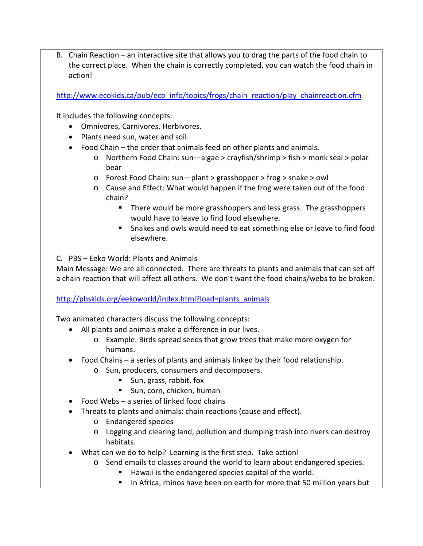B. Chain Reaction – an interactive site that allows you to drag the parts of the food chain to the correct place. When the chain is correctly completed, you can watch the food chain in action!

[http://www.ecokids.ca/pub/eco\\_info/topics/frogs/chain\\_reaction/play\\_chainreaction.cfm](http://www.ecokids.ca/pub/eco_info/topics/frogs/chain_reaction/play_chainreaction.cfm)

It includes the following concepts:

- Omnivores, Carnivores, Herbivores.
- Plants need sun, water and soil.
- Food Chain the order that animals feed on other plants and animals.
	- o Northern Food Chain: sun—algae > crayfish/shrimp > fish > monk seal > polar bear
	- o Forest Food Chain: sun—plant > grasshopper > frog > snake > owl
	- o Cause and Effect: What would happen if the frog were taken out of the food chain?
		- **There would be more grasshoppers and less grass. The grasshoppers** would have to leave to find food elsewhere.
		- Snakes and owls would need to eat something else or leave to find food elsewhere.

C. PBS – Eeko World: Plants and Animals

Main Message: We are all connected. There are threats to plants and animals that can set off a chain reaction that will affect all others. We don't want the food chains/webs to be broken.

[http://pbskids.org/eekoworld/index.html?load=plants\\_animals](http://pbskids.org/eekoworld/index.html?load=plants_animals)

Two animated characters discuss the following concepts:

- All plants and animals make a difference in our lives.
	- o Example: Birds spread seeds that grow trees that make more oxygen for humans.
- Food Chains a series of plants and animals linked by their food relationship.
	- o Sun, producers, consumers and decomposers.
		- Sun, grass, rabbit, fox
		- Sun, corn, chicken, human
- Food Webs a series of linked food chains
- Threats to plants and animals: chain reactions (cause and effect).
	- o Endangered species
	- o Logging and clearing land, pollution and dumping trash into rivers can destroy habitats.
- What can we do to help? Learning is the first step. Take action!
	- o Send emails to classes around the world to learn about endangered species.
		- Hawaii is the endangered species capital of the world.
		- In Africa, rhinos have been on earth for more that 50 million years but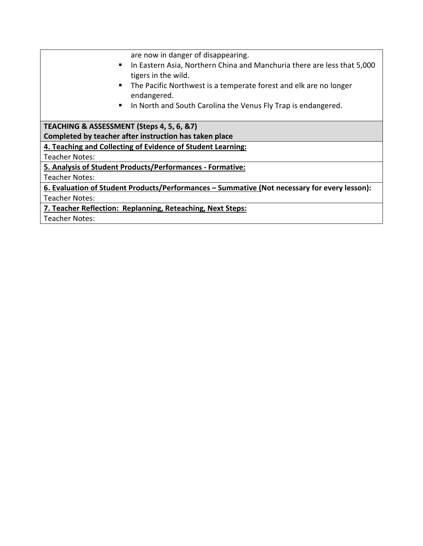are now in danger of disappearing. In Eastern Asia, Northern China and Manchuria there are less that 5,000 tigers in the wild. **The Pacific Northwest is a temperate forest and elk are no longer** endangered. **IF In North and South Carolina the Venus Fly Trap is endangered. TEACHING & ASSESSMENT (Steps 4, 5, 6, &7) Completed by teacher after instruction has taken place 4. Teaching and Collecting of Evidence of Student Learning:** Teacher Notes: **5. Analysis of Student Products/Performances - Formative:** Teacher Notes: **6. Evaluation of Student Products/Performances – Summative (Not necessary for every lesson):** Teacher Notes: **7. Teacher Reflection: Replanning, Reteaching, Next Steps:** Teacher Notes: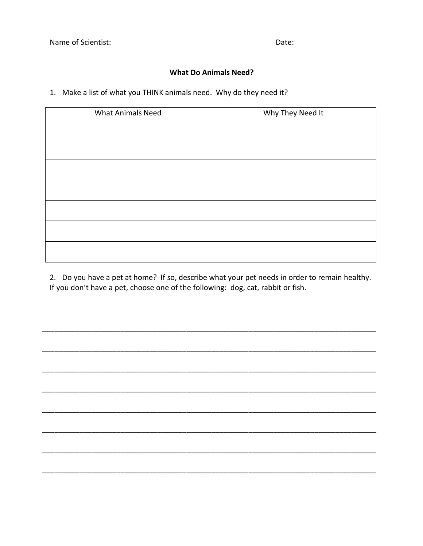Date:  $\qquad \qquad$ 

#### **What Do Animals Need?**

1. Make a list of what you THINK animals need. Why do they need it?

| <b>What Animals Need</b> | Why They Need It |
|--------------------------|------------------|
|                          |                  |
|                          |                  |
|                          |                  |
|                          |                  |
|                          |                  |
|                          |                  |
|                          |                  |

2. Do you have a pet at home? If so, describe what your pet needs in order to remain healthy. If you don't have a pet, choose one of the following: dog, cat, rabbit or fish.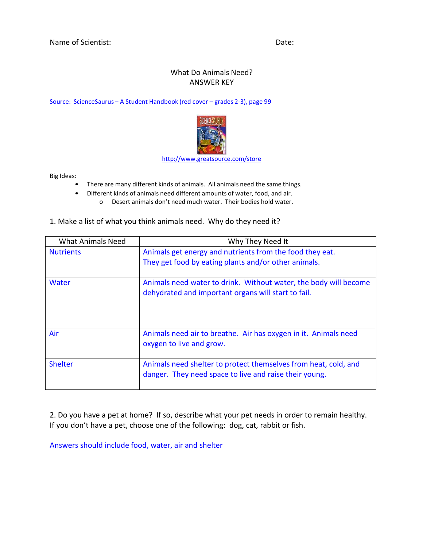# What Do Animals Need? ANSWER KEY

Source: ScienceSaurus – A Student Handbook (red cover – grades 2-3), page 99



[http://www.greatsource.com/store](http://www.greatsource.com/store/ProductCatalogController?cmd=Browse&subcmd=LoadDetail&level1Code=06&level2Code=060&level3Code=1048490&frontOrBack=F&sortProductsBy=SEQ_TITLE&division=G01)

Big Ideas:

- There are many different kinds of animals. All animals need the same things.
- Different kinds of animals need different amounts of water, food, and air. o Desert animals don't need much water. Their bodies hold water.

| <b>What Animals Need</b> | Why They Need It                                                                                                          |
|--------------------------|---------------------------------------------------------------------------------------------------------------------------|
| <b>Nutrients</b>         | Animals get energy and nutrients from the food they eat.<br>They get food by eating plants and/or other animals.          |
| Water                    | Animals need water to drink. Without water, the body will become<br>dehydrated and important organs will start to fail.   |
| Air                      | Animals need air to breathe. Air has oxygen in it. Animals need<br>oxygen to live and grow.                               |
| <b>Shelter</b>           | Animals need shelter to protect themselves from heat, cold, and<br>danger. They need space to live and raise their young. |

1. Make a list of what you think animals need. Why do they need it?

2. Do you have a pet at home? If so, describe what your pet needs in order to remain healthy. If you don't have a pet, choose one of the following: dog, cat, rabbit or fish.

Answers should include food, water, air and shelter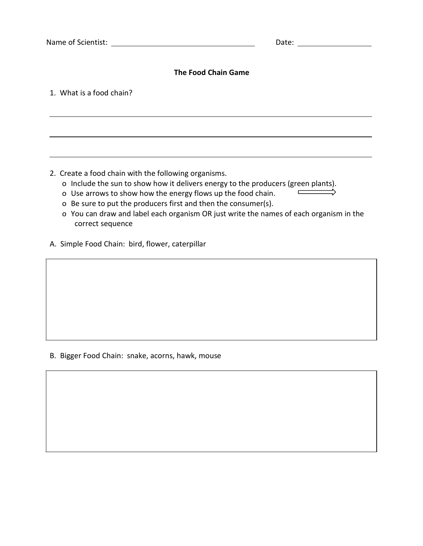# **The Food Chain Game**

1. What is a food chain?

2. Create a food chain with the following organisms.

- o Include the sun to show how it delivers energy to the producers (green plants).<br>
o Use arrows to show how the energy flows un the food chain
- o Use arrows to show how the energy flows up the food chain.
- o Be sure to put the producers first and then the consumer(s).
- o You can draw and label each organism OR just write the names of each organism in the correct sequence
- A. Simple Food Chain: bird, flower, caterpillar

#### B. Bigger Food Chain: snake, acorns, hawk, mouse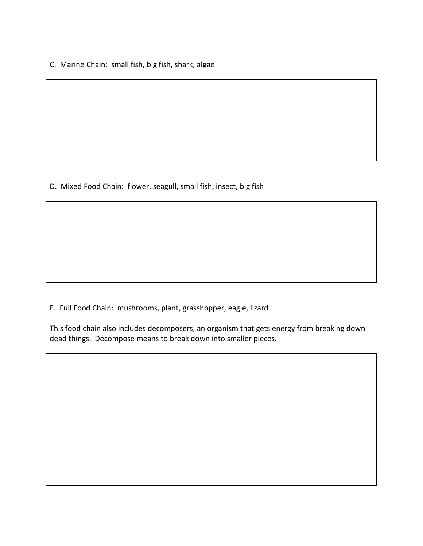C. Marine Chain: small fish, big fish, shark, algae

D. Mixed Food Chain: flower, seagull, small fish, insect, big fish

E. Full Food Chain: mushrooms, plant, grasshopper, eagle, lizard

This food chain also includes decomposers, an organism that gets energy from breaking down dead things. Decompose means to break down into smaller pieces.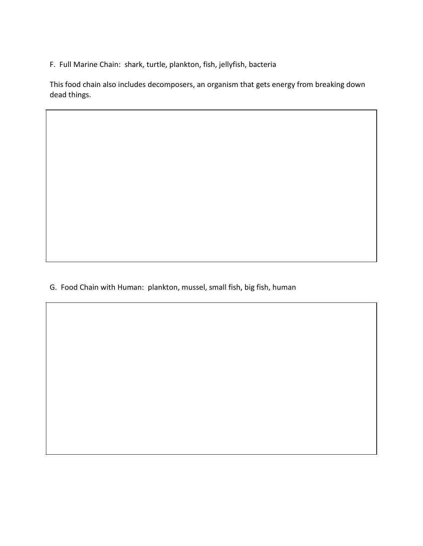F. Full Marine Chain: shark, turtle, plankton, fish, jellyfish, bacteria

This food chain also includes decomposers, an organism that gets energy from breaking down dead things.

G. Food Chain with Human: plankton, mussel, small fish, big fish, human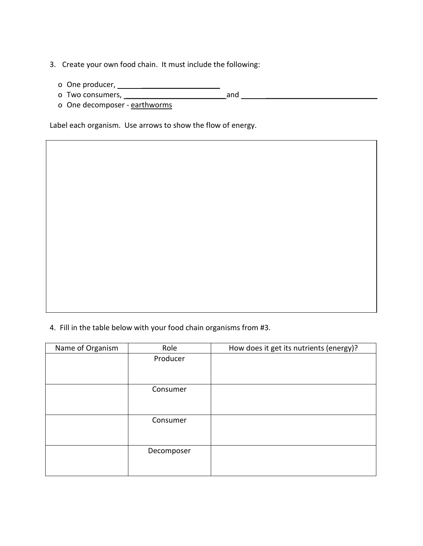- 3. Create your own food chain. It must include the following:
	- o One producer, \_\_\_\_\_\_\_\_\_\_\_\_\_\_\_\_\_\_\_
	- o Two consumers, \_\_\_\_\_\_\_\_\_\_\_\_\_\_\_\_\_\_\_\_\_\_\_\_ and \_\_\_\_\_\_\_\_\_\_\_\_\_\_\_\_\_\_\_\_\_\_\_\_\_\_\_
	- o One decomposer earthworms

Label each organism. Use arrows to show the flow of energy.

4. Fill in the table below with your food chain organisms from #3.

| Name of Organism | Role       | How does it get its nutrients (energy)? |
|------------------|------------|-----------------------------------------|
|                  | Producer   |                                         |
|                  |            |                                         |
|                  |            |                                         |
|                  | Consumer   |                                         |
|                  |            |                                         |
|                  |            |                                         |
|                  | Consumer   |                                         |
|                  |            |                                         |
|                  |            |                                         |
|                  | Decomposer |                                         |
|                  |            |                                         |
|                  |            |                                         |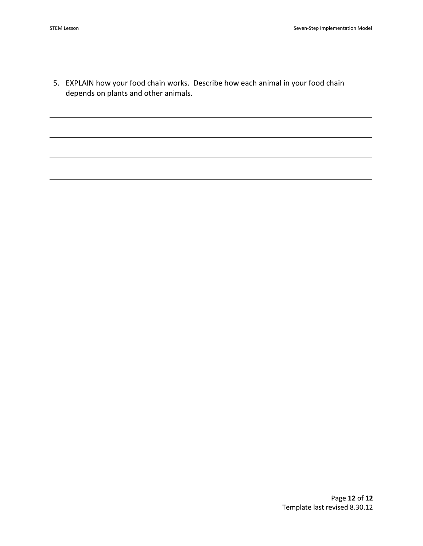5. EXPLAIN how your food chain works. Describe how each animal in your food chain depends on plants and other animals.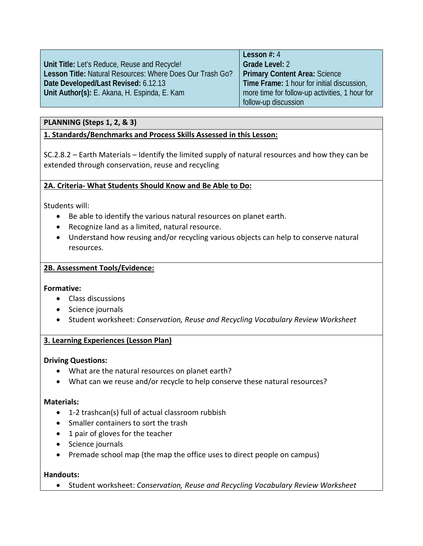|                                                           | Lesson $#: 4$                                  |
|-----------------------------------------------------------|------------------------------------------------|
| Unit Title: Let's Reduce, Reuse and Recycle!              | <b>Grade Level: 2</b>                          |
| Lesson Title: Natural Resources: Where Does Our Trash Go? | <b>Primary Content Area: Science</b>           |
| Date Developed/Last Revised: 6.12.13                      | Time Frame: 1 hour for initial discussion,     |
| Unit Author(s): E. Akana, H. Espinda, E. Kam              | more time for follow-up activities, 1 hour for |
|                                                           | follow-up discussion                           |

# **PLANNING (Steps 1, 2, & 3)**

#### **1. Standards/Benchmarks and Process Skills Assessed in this Lesson:**

SC.2.8.2 – Earth Materials – Identify the limited supply of natural resources and how they can be extended through conservation, reuse and recycling

#### **2A. Criteria- What Students Should Know and Be Able to Do:**

Students will:

- Be able to identify the various natural resources on planet earth.
- Recognize land as a limited, natural resource.
- Understand how reusing and/or recycling various objects can help to conserve natural resources.

#### **2B. Assessment Tools/Evidence:**

#### **Formative:**

- Class discussions
- Science journals
- Student worksheet: *Conservation, Reuse and Recycling Vocabulary Review Worksheet*

#### **3. Learning Experiences (Lesson Plan)**

#### **Driving Questions:**

- What are the natural resources on planet earth?
- What can we reuse and/or recycle to help conserve these natural resources?

#### **Materials:**

- 1-2 trashcan(s) full of actual classroom rubbish
- Smaller containers to sort the trash
- 1 pair of gloves for the teacher
- Science journals
- Premade school map (the map the office uses to direct people on campus)

#### **Handouts:**

• Student worksheet: *Conservation, Reuse and Recycling Vocabulary Review Worksheet*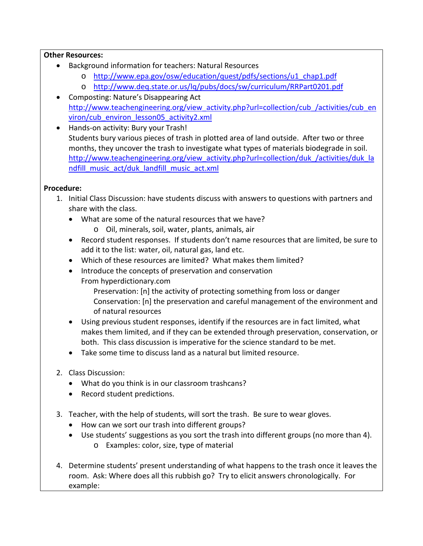# **Other Resources:**

- Background information for teachers: Natural Resources
	- o [http://www.epa.gov/osw/education/quest/pdfs/sections/u1\\_chap1.pdf](http://www.epa.gov/osw/education/quest/pdfs/sections/u1_chap1.pdf)
	- o <http://www.deq.state.or.us/lq/pubs/docs/sw/curriculum/RRPart0201.pdf>
- Composting: Nature's Disappearing Act [http://www.teachengineering.org/view\\_activity.php?url=collection/cub\\_/activities/cub\\_en](http://www.teachengineering.org/view_activity.php?url=collection/cub_/activities/cub_environ/cub_environ_lesson05_activity2.xml) [viron/cub\\_environ\\_lesson05\\_activity2.xml](http://www.teachengineering.org/view_activity.php?url=collection/cub_/activities/cub_environ/cub_environ_lesson05_activity2.xml)
- Hands-on activity: Bury your Trash! Students bury various pieces of trash in plotted area of land outside. After two or three months, they uncover the trash to investigate what types of materials biodegrade in soil. [http://www.teachengineering.org/view\\_activity.php?url=collection/duk\\_/activities/duk\\_la](http://www.teachengineering.org/view_activity.php?url=collection/duk_/activities/duk_landfill_music_act/duk_landfill_music_act.xml) [ndfill\\_music\\_act/duk\\_landfill\\_music\\_act.xml](http://www.teachengineering.org/view_activity.php?url=collection/duk_/activities/duk_landfill_music_act/duk_landfill_music_act.xml)

# **Procedure:**

- 1. Initial Class Discussion: have students discuss with answers to questions with partners and share with the class.
	- What are some of the natural resources that we have?
		- o Oil, minerals, soil, water, plants, animals, air
	- Record student responses. If students don't name resources that are limited, be sure to add it to the list: water, oil, natural gas, land etc.
	- Which of these resources are limited? What makes them limited?
	- Introduce the concepts of preservation and conservation
		- From hyperdictionary.com
			- Preservation: [n] the activity of protecting something from loss or danger Conservation: [n] the preservation and careful management of the environment and of natural resources
	- Using previous student responses, identify if the resources are in fact limited, what makes them limited, and if they can be extended through preservation, conservation, or both. This class discussion is imperative for the science standard to be met.
	- Take some time to discuss land as a natural but limited resource.
- 2. Class Discussion:
	- What do you think is in our classroom trashcans?
	- Record student predictions.
- 3. Teacher, with the help of students, will sort the trash. Be sure to wear gloves.
	- How can we sort our trash into different groups?
	- Use students' suggestions as you sort the trash into different groups (no more than 4). o Examples: color, size, type of material
- 4. Determine students' present understanding of what happens to the trash once it leaves the room. Ask: Where does all this rubbish go? Try to elicit answers chronologically. For example: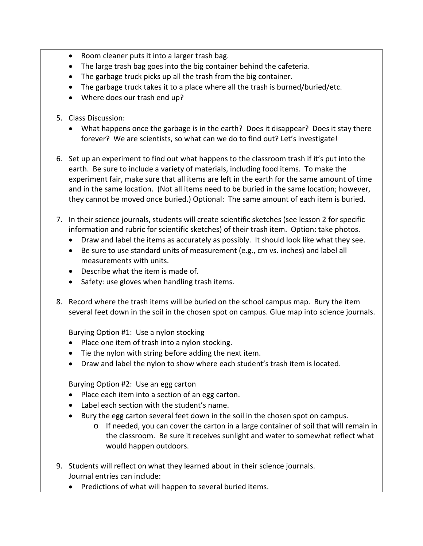- Room cleaner puts it into a larger trash bag.
- The large trash bag goes into the big container behind the cafeteria.
- The garbage truck picks up all the trash from the big container.
- The garbage truck takes it to a place where all the trash is burned/buried/etc.
- Where does our trash end up?
- 5. Class Discussion:
	- What happens once the garbage is in the earth? Does it disappear? Does it stay there forever? We are scientists, so what can we do to find out? Let's investigate!
- 6. Set up an experiment to find out what happens to the classroom trash if it's put into the earth. Be sure to include a variety of materials, including food items. To make the experiment fair, make sure that all items are left in the earth for the same amount of time and in the same location. (Not all items need to be buried in the same location; however, they cannot be moved once buried.) Optional: The same amount of each item is buried.
- 7. In their science journals, students will create scientific sketches (see lesson 2 for specific information and rubric for scientific sketches) of their trash item. Option: take photos.
	- Draw and label the items as accurately as possibly. It should look like what they see.
	- Be sure to use standard units of measurement (e.g., cm vs. inches) and label all measurements with units.
	- Describe what the item is made of.
	- Safety: use gloves when handling trash items.
- 8. Record where the trash items will be buried on the school campus map. Bury the item several feet down in the soil in the chosen spot on campus. Glue map into science journals.

Burying Option #1: Use a nylon stocking

- Place one item of trash into a nylon stocking.
- Tie the nylon with string before adding the next item.
- Draw and label the nylon to show where each student's trash item is located.

Burying Option #2: Use an egg carton

- Place each item into a section of an egg carton.
- Label each section with the student's name.
- Bury the egg carton several feet down in the soil in the chosen spot on campus.
	- o If needed, you can cover the carton in a large container of soil that will remain in the classroom. Be sure it receives sunlight and water to somewhat reflect what would happen outdoors.
- 9. Students will reflect on what they learned about in their science journals. Journal entries can include:
	- Predictions of what will happen to several buried items.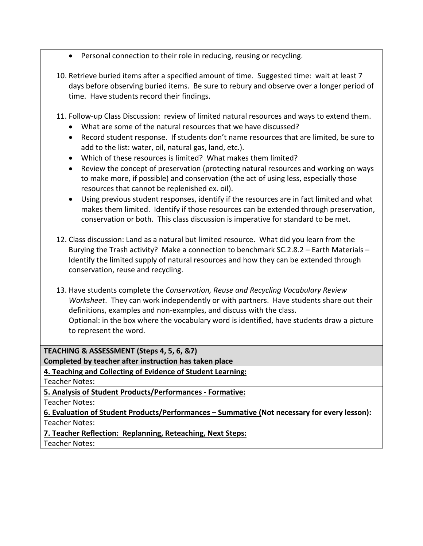- Personal connection to their role in reducing, reusing or recycling.
- 10. Retrieve buried items after a specified amount of time. Suggested time: wait at least 7 days before observing buried items. Be sure to rebury and observe over a longer period of time. Have students record their findings.
- 11. Follow-up Class Discussion: review of limited natural resources and ways to extend them.
	- What are some of the natural resources that we have discussed?
	- Record student response. If students don't name resources that are limited, be sure to add to the list: water, oil, natural gas, land, etc.).
	- Which of these resources is limited? What makes them limited?
	- Review the concept of preservation (protecting natural resources and working on ways to make more, if possible) and conservation (the act of using less, especially those resources that cannot be replenished ex. oil).
	- Using previous student responses, identify if the resources are in fact limited and what makes them limited. Identify if those resources can be extended through preservation, conservation or both. This class discussion is imperative for standard to be met.
- 12. Class discussion: Land as a natural but limited resource. What did you learn from the Burying the Trash activity? Make a connection to benchmark SC.2.8.2 – Earth Materials – Identify the limited supply of natural resources and how they can be extended through conservation, reuse and recycling.
- 13. Have students complete the *Conservation, Reuse and Recycling Vocabulary Review Worksheet*. They can work independently or with partners. Have students share out their definitions, examples and non-examples, and discuss with the class. Optional: in the box where the vocabulary word is identified, have students draw a picture to represent the word.

**TEACHING & ASSESSMENT (Steps 4, 5, 6, &7)**

**Completed by teacher after instruction has taken place**

**4. Teaching and Collecting of Evidence of Student Learning:**

Teacher Notes:

**5. Analysis of Student Products/Performances - Formative:**

Teacher Notes:

**6. Evaluation of Student Products/Performances – Summative (Not necessary for every lesson):** Teacher Notes:

**7. Teacher Reflection: Replanning, Reteaching, Next Steps:**

Teacher Notes: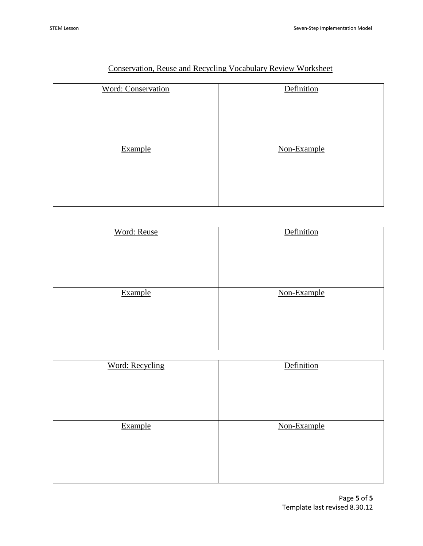| <b>Word: Conservation</b> | Definition  |
|---------------------------|-------------|
|                           |             |
| Example                   | Non-Example |

# Conservation, Reuse and Recycling Vocabulary Review Worksheet

| <b>Word: Reuse</b> | Definition  |
|--------------------|-------------|
|                    |             |
| Example            | Non-Example |
|                    |             |

| <b>Word: Recycling</b> | Definition  |
|------------------------|-------------|
| Example                | Non-Example |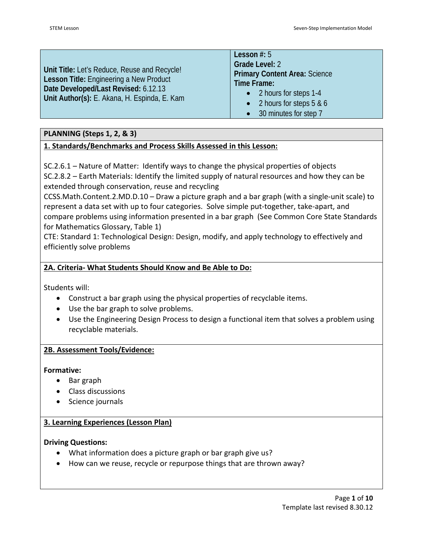|                                              | Lesson $#: 5$                        |
|----------------------------------------------|--------------------------------------|
|                                              | Grade Level: 2                       |
| Unit Title: Let's Reduce, Reuse and Recycle! | <b>Primary Content Area: Science</b> |
| Lesson Title: Engineering a New Product      | Time Frame:                          |
| Date Developed/Last Revised: 6.12.13         | • 2 hours for steps 1-4              |
| Unit Author(s): E. Akana, H. Espinda, E. Kam |                                      |
|                                              | • 2 hours for steps $5 & 6$          |
|                                              | • 30 minutes for step 7              |

# **PLANNING (Steps 1, 2, & 3)**

# **1. Standards/Benchmarks and Process Skills Assessed in this Lesson:**

SC.2.6.1 – Nature of Matter: Identify ways to change the physical properties of objects SC.2.8.2 – Earth Materials: Identify the limited supply of natural resources and how they can be extended through conservation, reuse and recycling

CCSS.Math.Content.2.MD.D.10 – Draw a picture graph and a bar graph (with a single-unit scale) to represent a data set with up to four categories. Solve simple put-together, take-apart, and compare problems using information presented in a bar graph (See Common Core State Standards for Mathematics Glossary, Table 1)

CTE: Standard 1: Technological Design: Design, modify, and apply technology to effectively and efficiently solve problems

#### **2A. Criteria- What Students Should Know and Be Able to Do:**

Students will:

- Construct a bar graph using the physical properties of recyclable items.
- Use the bar graph to solve problems.
- Use the Engineering Design Process to design a functional item that solves a problem using recyclable materials.

#### **2B. Assessment Tools/Evidence:**

#### **Formative:**

- Bar graph
- Class discussions
- Science journals

#### **3. Learning Experiences (Lesson Plan)**

#### **Driving Questions:**

- What information does a picture graph or bar graph give us?
- How can we reuse, recycle or repurpose things that are thrown away?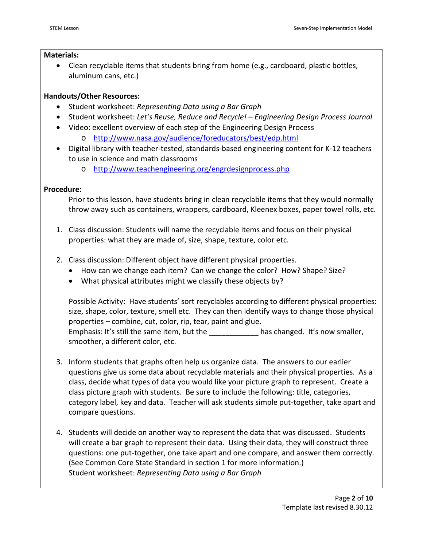#### **Materials:**

• Clean recyclable items that students bring from home (e.g., cardboard, plastic bottles, aluminum cans, etc.)

# **Handouts/Other Resources:**

- Student worksheet: *Representing Data using a Bar Graph*
- Student worksheet: *Let's Reuse, Reduce and Recycle! – Engineering Design Process Journal*
- Video: excellent overview of each step of the Engineering Design Process
	- o <http://www.nasa.gov/audience/foreducators/best/edp.html>
- Digital library with teacher-tested, standards-based engineering content for K-12 teachers to use in science and math classrooms
	- o <http://www.teachengineering.org/engrdesignprocess.php>

#### **Procedure:**

Prior to this lesson, have students bring in clean recyclable items that they would normally throw away such as containers, wrappers, cardboard, Kleenex boxes, paper towel rolls, etc.

- 1. Class discussion: Students will name the recyclable items and focus on their physical properties: what they are made of, size, shape, texture, color etc.
- 2. Class discussion: Different object have different physical properties.
	- How can we change each item? Can we change the color? How? Shape? Size?
	- What physical attributes might we classify these objects by?

Possible Activity: Have students' sort recyclables according to different physical properties: size, shape, color, texture, smell etc. They can then identify ways to change those physical properties – combine, cut, color, rip, tear, paint and glue. Emphasis: It's still the same item, but the **Emphasis:** It's now smaller, smoother, a different color, etc.

- 3. Inform students that graphs often help us organize data. The answers to our earlier questions give us some data about recyclable materials and their physical properties. As a class, decide what types of data you would like your picture graph to represent. Create a class picture graph with students. Be sure to include the following: title, categories, category label, key and data. Teacher will ask students simple put-together, take apart and compare questions.
- 4. Students will decide on another way to represent the data that was discussed. Students will create a bar graph to represent their data. Using their data, they will construct three questions: one put-together, one take apart and one compare, and answer them correctly. (See Common Core State Standard in section 1 for more information.) Student worksheet: *Representing Data using a Bar Graph*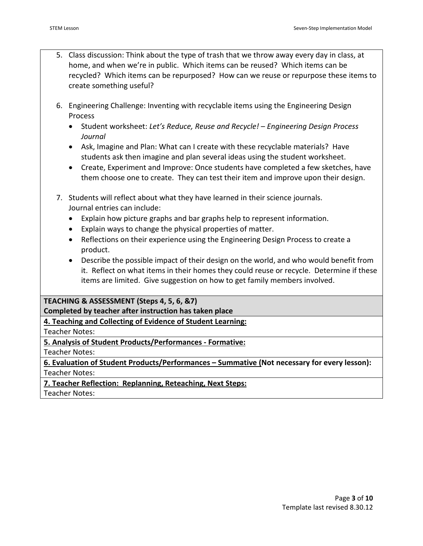- 5. Class discussion: Think about the type of trash that we throw away every day in class, at home, and when we're in public. Which items can be reused? Which items can be recycled? Which items can be repurposed? How can we reuse or repurpose these items to create something useful?
- 6. Engineering Challenge: Inventing with recyclable items using the Engineering Design Process
	- Student worksheet: *Let's Reduce, Reuse and Recycle! – Engineering Design Process Journal*
	- Ask, Imagine and Plan: What can I create with these recyclable materials? Have students ask then imagine and plan several ideas using the student worksheet.
	- Create, Experiment and Improve: Once students have completed a few sketches, have them choose one to create. They can test their item and improve upon their design.
- 7. Students will reflect about what they have learned in their science journals. Journal entries can include:
	- Explain how picture graphs and bar graphs help to represent information.
	- Explain ways to change the physical properties of matter.
	- Reflections on their experience using the Engineering Design Process to create a product.
	- Describe the possible impact of their design on the world, and who would benefit from it. Reflect on what items in their homes they could reuse or recycle. Determine if these items are limited. Give suggestion on how to get family members involved.

# **TEACHING & ASSESSMENT (Steps 4, 5, 6, &7)**

**Completed by teacher after instruction has taken place**

**4. Teaching and Collecting of Evidence of Student Learning:**

Teacher Notes:

**5. Analysis of Student Products/Performances - Formative:**

Teacher Notes:

**6. Evaluation of Student Products/Performances – Summative (Not necessary for every lesson):** Teacher Notes:

**7. Teacher Reflection: Replanning, Reteaching, Next Steps:**

Teacher Notes: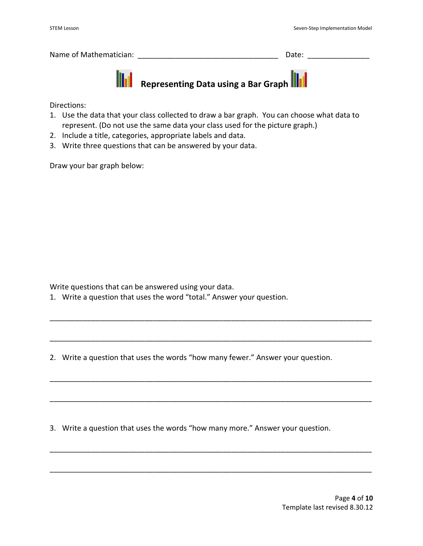| Name of Mathematician: | Date: |  |
|------------------------|-------|--|
|                        |       |  |



**AREPTING INCORDED IN THE REPORT OF A REPRESENTATION CONTROLLING INC.** 

Directions:

- 1. Use the data that your class collected to draw a bar graph. You can choose what data to represent. (Do not use the same data your class used for the picture graph.)
- 2. Include a title, categories, appropriate labels and data.
- 3. Write three questions that can be answered by your data.

Draw your bar graph below:

Write questions that can be answered using your data.

1. Write a question that uses the word "total." Answer your question.

2. Write a question that uses the words "how many fewer." Answer your question.

\_\_\_\_\_\_\_\_\_\_\_\_\_\_\_\_\_\_\_\_\_\_\_\_\_\_\_\_\_\_\_\_\_\_\_\_\_\_\_\_\_\_\_\_\_\_\_\_\_\_\_\_\_\_\_\_\_\_\_\_\_\_\_\_\_\_\_\_\_\_\_\_\_\_\_\_\_\_

\_\_\_\_\_\_\_\_\_\_\_\_\_\_\_\_\_\_\_\_\_\_\_\_\_\_\_\_\_\_\_\_\_\_\_\_\_\_\_\_\_\_\_\_\_\_\_\_\_\_\_\_\_\_\_\_\_\_\_\_\_\_\_\_\_\_\_\_\_\_\_\_\_\_\_\_\_\_

\_\_\_\_\_\_\_\_\_\_\_\_\_\_\_\_\_\_\_\_\_\_\_\_\_\_\_\_\_\_\_\_\_\_\_\_\_\_\_\_\_\_\_\_\_\_\_\_\_\_\_\_\_\_\_\_\_\_\_\_\_\_\_\_\_\_\_\_\_\_\_\_\_\_\_\_\_\_

\_\_\_\_\_\_\_\_\_\_\_\_\_\_\_\_\_\_\_\_\_\_\_\_\_\_\_\_\_\_\_\_\_\_\_\_\_\_\_\_\_\_\_\_\_\_\_\_\_\_\_\_\_\_\_\_\_\_\_\_\_\_\_\_\_\_\_\_\_\_\_\_\_\_\_\_\_\_

\_\_\_\_\_\_\_\_\_\_\_\_\_\_\_\_\_\_\_\_\_\_\_\_\_\_\_\_\_\_\_\_\_\_\_\_\_\_\_\_\_\_\_\_\_\_\_\_\_\_\_\_\_\_\_\_\_\_\_\_\_\_\_\_\_\_\_\_\_\_\_\_\_\_\_\_\_\_

\_\_\_\_\_\_\_\_\_\_\_\_\_\_\_\_\_\_\_\_\_\_\_\_\_\_\_\_\_\_\_\_\_\_\_\_\_\_\_\_\_\_\_\_\_\_\_\_\_\_\_\_\_\_\_\_\_\_\_\_\_\_\_\_\_\_\_\_\_\_\_\_\_\_\_\_\_\_

3. Write a question that uses the words "how many more." Answer your question.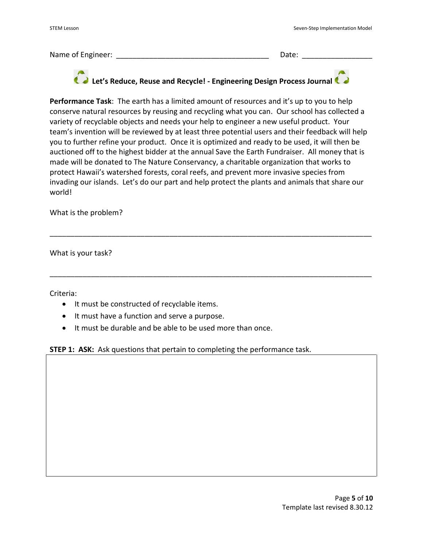Name of Engineer: \_\_\_\_\_\_\_\_\_\_\_\_\_\_\_\_\_\_\_\_\_\_\_\_\_\_\_\_\_\_\_\_\_\_\_\_\_ Date: \_\_\_\_\_\_\_\_\_\_\_\_\_\_\_\_\_

# **Let's Reduce, Reuse and Recycle! - Engineering Design Process Journal**

**Performance Task**: The earth has a limited amount of resources and it's up to you to help conserve natural resources by reusing and recycling what you can. Our school has collected a variety of recyclable objects and needs your help to engineer a new useful product. Your team's invention will be reviewed by at least three potential users and their feedback will help you to further refine your product. Once it is optimized and ready to be used, it will then be auctioned off to the highest bidder at the annual Save the Earth Fundraiser. All money that is made will be donated to The Nature Conservancy, a charitable organization that works to protect Hawaii's watershed forests, coral reefs, and prevent more invasive species from invading our islands. Let's do our part and help protect the plants and animals that share our world!

\_\_\_\_\_\_\_\_\_\_\_\_\_\_\_\_\_\_\_\_\_\_\_\_\_\_\_\_\_\_\_\_\_\_\_\_\_\_\_\_\_\_\_\_\_\_\_\_\_\_\_\_\_\_\_\_\_\_\_\_\_\_\_\_\_\_\_\_\_\_\_\_\_\_\_\_\_\_

\_\_\_\_\_\_\_\_\_\_\_\_\_\_\_\_\_\_\_\_\_\_\_\_\_\_\_\_\_\_\_\_\_\_\_\_\_\_\_\_\_\_\_\_\_\_\_\_\_\_\_\_\_\_\_\_\_\_\_\_\_\_\_\_\_\_\_\_\_\_\_\_\_\_\_\_\_\_

What is the problem?

What is your task?

Criteria:

- It must be constructed of recyclable items.
- It must have a function and serve a purpose.
- It must be durable and be able to be used more than once.

**STEP 1: ASK:** Ask questions that pertain to completing the performance task.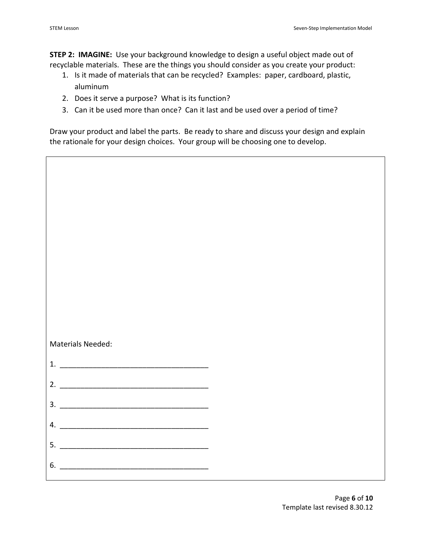**STEP 2: IMAGINE:** Use your background knowledge to design a useful object made out of recyclable materials. These are the things you should consider as you create your product:

- 1. Is it made of materials that can be recycled? Examples: paper, cardboard, plastic, aluminum
- 2. Does it serve a purpose? What is its function?
- 3. Can it be used more than once? Can it last and be used over a period of time?

Draw your product and label the parts. Be ready to share and discuss your design and explain the rationale for your design choices. Your group will be choosing one to develop.

| Materials Needed:<br>2. $\overline{\phantom{a}}$<br>4.<br>5.<br><u> 1980 - Jan James James James James James James James James James James James James James James James James Ja</u> |  |  |
|---------------------------------------------------------------------------------------------------------------------------------------------------------------------------------------|--|--|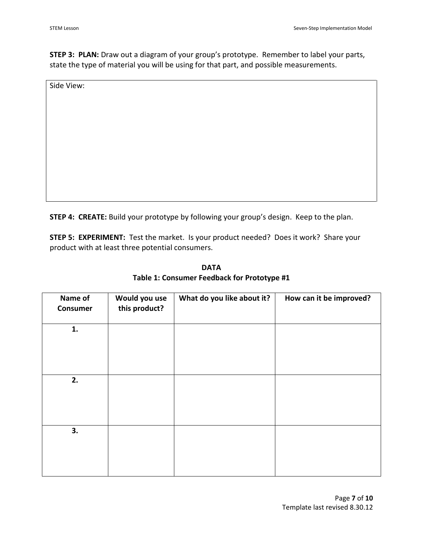**STEP 3: PLAN:** Draw out a diagram of your group's prototype. Remember to label your parts, state the type of material you will be using for that part, and possible measurements.

Side View:

**STEP 4: CREATE:** Build your prototype by following your group's design. Keep to the plan.

**STEP 5: EXPERIMENT:** Test the market. Is your product needed? Does it work? Share your product with at least three potential consumers.

| Name of<br><b>Consumer</b> | Would you use<br>this product? | What do you like about it? | How can it be improved? |
|----------------------------|--------------------------------|----------------------------|-------------------------|
| 1.                         |                                |                            |                         |
|                            |                                |                            |                         |
| 2.                         |                                |                            |                         |
| 3.                         |                                |                            |                         |

**DATA Table 1: Consumer Feedback for Prototype #1**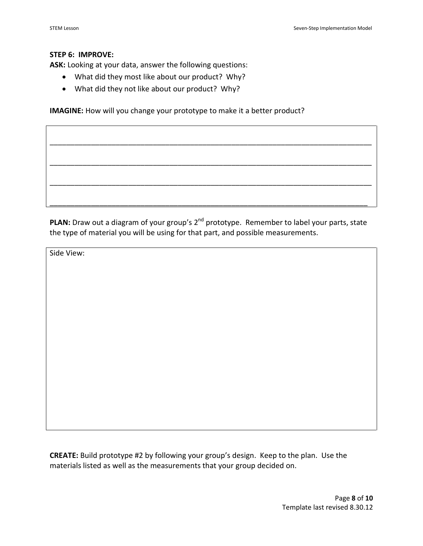#### **STEP 6: IMPROVE:**

**ASK:** Looking at your data, answer the following questions:

- What did they most like about our product? Why?
- What did they not like about our product? Why?

**IMAGINE:** How will you change your prototype to make it a better product?

PLAN: Draw out a diagram of your group's 2<sup>nd</sup> prototype. Remember to label your parts, state the type of material you will be using for that part, and possible measurements.

\_\_\_\_\_\_\_\_\_\_\_\_\_\_\_\_\_\_\_\_\_\_\_\_\_\_\_\_\_\_\_\_\_\_\_\_\_\_\_\_\_\_\_\_\_\_\_\_\_\_\_\_\_\_\_\_\_\_\_\_\_\_\_\_\_\_\_\_\_\_\_\_\_\_\_\_\_

\_\_\_\_\_\_\_\_\_\_\_\_\_\_\_\_\_\_\_\_\_\_\_\_\_\_\_\_\_\_\_\_\_\_\_\_\_\_\_\_\_\_\_\_\_\_\_\_\_\_\_\_\_\_\_\_\_\_\_\_\_\_\_\_\_\_\_\_\_\_\_\_\_\_\_\_\_\_

\_\_\_\_\_\_\_\_\_\_\_\_\_\_\_\_\_\_\_\_\_\_\_\_\_\_\_\_\_\_\_\_\_\_\_\_\_\_\_\_\_\_\_\_\_\_\_\_\_\_\_\_\_\_\_\_\_\_\_\_\_\_\_\_\_\_\_\_\_\_\_\_\_\_\_\_\_\_

\_\_\_\_\_\_\_\_\_\_\_\_\_\_\_\_\_\_\_\_\_\_\_\_\_\_\_\_\_\_\_\_\_\_\_\_\_\_\_\_\_\_\_\_\_\_\_\_\_\_\_\_\_\_\_\_\_\_\_\_\_\_\_\_\_\_\_\_\_\_\_\_\_\_\_\_\_\_

Side View:

**CREATE:** Build prototype #2 by following your group's design. Keep to the plan. Use the materials listed as well as the measurements that your group decided on.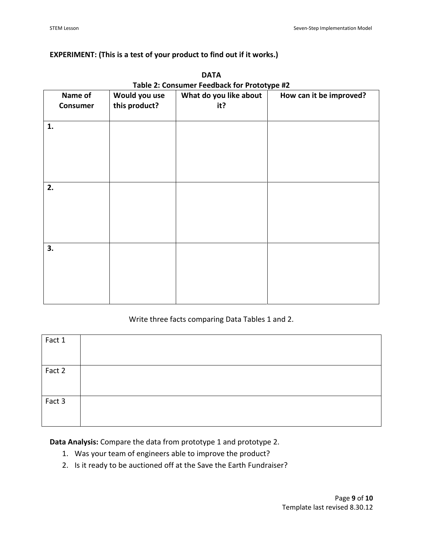# **EXPERIMENT: (This is a test of your product to find out if it works.)**

| Name of  | Would you use | $1800$ $\leq$ . Consumer Teculous for Trototype $\approx$<br>What do you like about | How can it be improved? |
|----------|---------------|-------------------------------------------------------------------------------------|-------------------------|
| Consumer | this product? | it?                                                                                 |                         |
|          |               |                                                                                     |                         |
|          |               |                                                                                     |                         |
| 1.       |               |                                                                                     |                         |
|          |               |                                                                                     |                         |
|          |               |                                                                                     |                         |
|          |               |                                                                                     |                         |
|          |               |                                                                                     |                         |
|          |               |                                                                                     |                         |
| 2.       |               |                                                                                     |                         |
|          |               |                                                                                     |                         |
|          |               |                                                                                     |                         |
|          |               |                                                                                     |                         |
|          |               |                                                                                     |                         |
|          |               |                                                                                     |                         |
|          |               |                                                                                     |                         |
| 3.       |               |                                                                                     |                         |
|          |               |                                                                                     |                         |
|          |               |                                                                                     |                         |
|          |               |                                                                                     |                         |
|          |               |                                                                                     |                         |
|          |               |                                                                                     |                         |
|          |               |                                                                                     |                         |

**DATA Table 2: Consumer Feedback for Prototype #2**

# Write three facts comparing Data Tables 1 and 2.

| Fact 1 |  |
|--------|--|
| Fact 2 |  |
|        |  |
|        |  |
| Fact 3 |  |
|        |  |
|        |  |

**Data Analysis:** Compare the data from prototype 1 and prototype 2.

- 1. Was your team of engineers able to improve the product?
- 2. Is it ready to be auctioned off at the Save the Earth Fundraiser?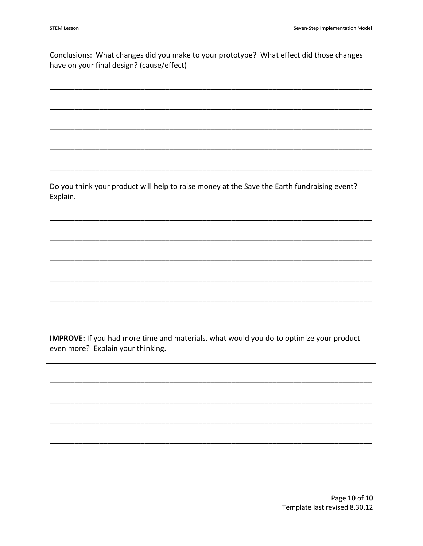| Conclusions: What changes did you make to your prototype? What effect did those changes     |
|---------------------------------------------------------------------------------------------|
| have on your final design? (cause/effect)                                                   |
|                                                                                             |
|                                                                                             |
|                                                                                             |
|                                                                                             |
|                                                                                             |
|                                                                                             |
|                                                                                             |
|                                                                                             |
|                                                                                             |
|                                                                                             |
|                                                                                             |
| Do you think your product will help to raise money at the Save the Earth fundraising event? |
| Explain.                                                                                    |
|                                                                                             |
|                                                                                             |
|                                                                                             |
|                                                                                             |
|                                                                                             |
|                                                                                             |
|                                                                                             |
|                                                                                             |
|                                                                                             |
|                                                                                             |
|                                                                                             |

IMPROVE: If you had more time and materials, what would you do to optimize your product even more? Explain your thinking.

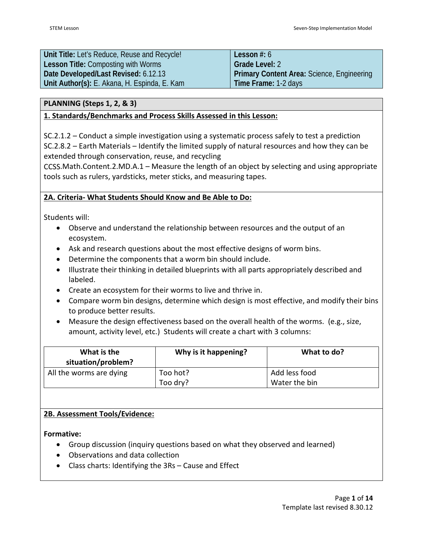| Unit Title: Let's Reduce, Reuse and Recycle! | Lesson $#: 6$                                     |
|----------------------------------------------|---------------------------------------------------|
| <b>Lesson Title: Composting with Worms</b>   | <b>Grade Level: 2</b>                             |
| Date Developed/Last Revised: 6.12.13         | <b>Primary Content Area: Science, Engineering</b> |
| Unit Author(s): E. Akana, H. Espinda, E. Kam | <b>Time Frame: 1-2 days</b>                       |

#### **PLANNING (Steps 1, 2, & 3)**

# **1. Standards/Benchmarks and Process Skills Assessed in this Lesson:**

SC.2.1.2 – Conduct a simple investigation using a systematic process safely to test a prediction

SC.2.8.2 – Earth Materials – Identify the limited supply of natural resources and how they can be extended through conservation, reuse, and recycling

CCSS.Math.Content.2.MD.A.1 – Measure the length of an object by selecting and using appropriate tools such as rulers, yardsticks, meter sticks, and measuring tapes.

# **2A. Criteria- What Students Should Know and Be Able to Do:**

Students will:

- Observe and understand the relationship between resources and the output of an ecosystem.
- Ask and research questions about the most effective designs of worm bins.
- Determine the components that a worm bin should include.
- Illustrate their thinking in detailed blueprints with all parts appropriately described and labeled.
- Create an ecosystem for their worms to live and thrive in.
- Compare worm bin designs, determine which design is most effective, and modify their bins to produce better results.
- Measure the design effectiveness based on the overall health of the worms. (e.g., size, amount, activity level, etc.) Students will create a chart with 3 columns:

| What is the<br>situation/problem? | Why is it happening? | What to do?   |
|-----------------------------------|----------------------|---------------|
| All the worms are dying           | Too hot?             | Add less food |
|                                   | Too dry?             | Water the bin |

# **2B. Assessment Tools/Evidence:**

**Formative:**

- Group discussion (inquiry questions based on what they observed and learned)
- Observations and data collection
- Class charts: Identifying the 3Rs Cause and Effect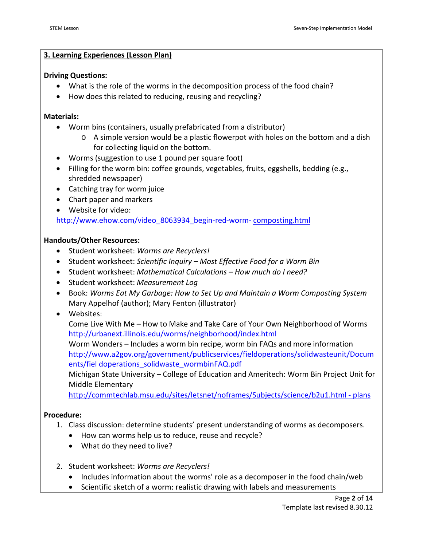#### **3. Learning Experiences (Lesson Plan)**

#### **Driving Questions:**

- What is the role of the worms in the decomposition process of the food chain?
- How does this related to reducing, reusing and recycling?

#### **Materials:**

- Worm bins (containers, usually prefabricated from a distributor)
	- o A simple version would be a plastic flowerpot with holes on the bottom and a dish for collecting liquid on the bottom.
- Worms (suggestion to use 1 pound per square foot)
- Filling for the worm bin: coffee grounds, vegetables, fruits, eggshells, bedding (e.g., shredded newspaper)
- Catching tray for worm juice
- Chart paper and markers
- Website for video:

[http://www.ehow.com/video\\_8063934\\_begin-red-worm-](http://www.ehow.com/video_8063934_begin-red-worm-composting.html) [composting.html](http://www.ehow.com/video_8063934_begin-red-worm-composting.html)

#### **Handouts/Other Resources:**

- Student worksheet: *Worms are Recyclers!*
- Student worksheet: *Scientific Inquiry – Most Effective Food for a Worm Bin*
- Student worksheet: *Mathematical Calculations – How much do I need?*
- Student worksheet: *Measurement Log*
- Book: *Worms Eat My Garbage: How to Set Up and Maintain a Worm Composting System* Mary Appelhof (author); Mary Fenton (illustrator)
- Websites:

Come Live With Me – How to Make and Take Care of Your Own Neighborhood of Worms <http://urbanext.illinois.edu/worms/neighborhood/index.html>

Worm Wonders – Includes a worm bin recipe, worm bin FAQs and more information [http://www.a2gov.org/government/publicservices/fieldoperations/solidwasteunit/Docum](http://www.a2gov.org/government/publicservices/fieldoperations/solidwasteunit/Documents/fieldoperations_solidwaste_wormbinFAQ.pdf) [ents/fiel](http://www.a2gov.org/government/publicservices/fieldoperations/solidwasteunit/Documents/fieldoperations_solidwaste_wormbinFAQ.pdf) [doperations\\_solidwaste\\_wormbinFAQ.pdf](http://www.a2gov.org/government/publicservices/fieldoperations/solidwasteunit/Documents/fieldoperations_solidwaste_wormbinFAQ.pdf)

Michigan State University – College of Education and Ameritech: Worm Bin Project Unit for Middle Elementary

[http://commtechlab.msu.edu/sites/letsnet/noframes/Subjects/science/b2u1.html](http://commtechlab.msu.edu/sites/letsnet/noframes/Subjects/science/b2u1.html#plans) - plans

#### **Procedure:**

- 1. Class discussion: determine students' present understanding of worms as decomposers.
	- How can worms help us to reduce, reuse and recycle?
	- What do they need to live?
- 2. Student worksheet: *Worms are Recyclers!* 
	- Includes information about the worms' role as a decomposer in the food chain/web
	- Scientific sketch of a worm: realistic drawing with labels and measurements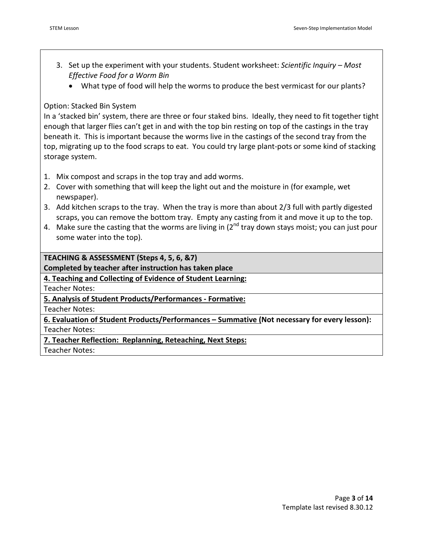- 3. Set up the experiment with your students. Student worksheet: *Scientific Inquiry – Most Effective Food for a Worm Bin*
	- What type of food will help the worms to produce the best vermicast for our plants?

# Option: Stacked Bin System

In a 'stacked bin' system, there are three or four staked bins. Ideally, they need to fit together tight enough that larger flies can't get in and with the top bin resting on top of the castings in the tray beneath it. This is important because the worms live in the castings of the second tray from the top, migrating up to the food scraps to eat. You could try large plant-pots or some kind of stacking storage system.

- 1. Mix compost and scraps in the top tray and add worms.
- 2. Cover with something that will keep the light out and the moisture in (for example, wet newspaper).
- 3. Add kitchen scraps to the tray. When the tray is more than about 2/3 full with partly digested scraps, you can remove the bottom tray. Empty any casting from it and move it up to the top.
- 4. Make sure the casting that the worms are living in  $(2^{nd}$  tray down stays moist; you can just pour some water into the top).

**TEACHING & ASSESSMENT (Steps 4, 5, 6, &7)**

**Completed by teacher after instruction has taken place**

**4. Teaching and Collecting of Evidence of Student Learning:**

Teacher Notes:

**5. Analysis of Student Products/Performances - Formative:**

Teacher Notes:

**6. Evaluation of Student Products/Performances – Summative (Not necessary for every lesson):** Teacher Notes:

**7. Teacher Reflection: Replanning, Reteaching, Next Steps:**

Teacher Notes: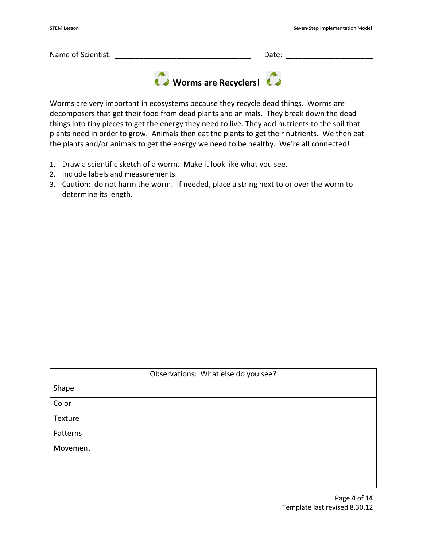| Name of Scientist: |                                            | Date: |  |  |
|--------------------|--------------------------------------------|-------|--|--|
|                    | <b>C</b> > Worms are Recyclers! <b>C</b> > |       |  |  |

Worms are very important in ecosystems because they recycle dead things. Worms are decomposers that get their food from dead plants and animals. They break down the dead things into tiny pieces to get the energy they need to live. They add nutrients to the soil that plants need in order to grow. Animals then eat the plants to get their nutrients. We then eat the plants and/or animals to get the energy we need to be healthy. We're all connected!

- 1. Draw a scientific sketch of a worm. Make it look like what you see.
- 2. Include labels and measurements.
- 3. Caution: do not harm the worm. If needed, place a string next to or over the worm to determine its length.

| Observations: What else do you see? |  |  |
|-------------------------------------|--|--|
| Shape                               |  |  |
| Color                               |  |  |
| Texture                             |  |  |
| Patterns                            |  |  |
| Movement                            |  |  |
|                                     |  |  |
|                                     |  |  |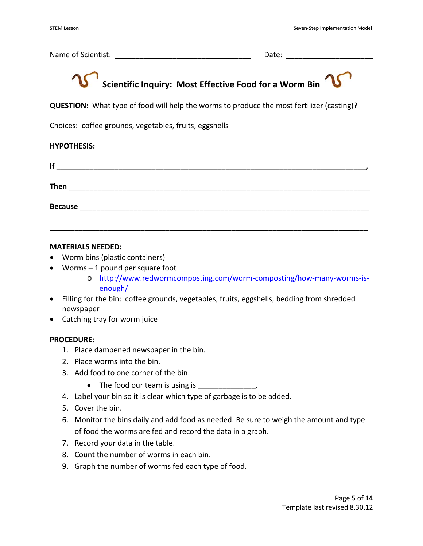Name of Scientist: \_\_\_\_\_\_\_\_\_\_\_\_\_\_\_\_\_\_\_\_\_\_\_\_\_\_\_\_\_\_\_\_\_ Date: \_\_\_\_\_\_\_\_\_\_\_\_\_\_\_\_\_\_\_\_\_

# **Scientific Inquiry: Most Effective Food for a Worm Bin**

**QUESTION:** What type of food will help the worms to produce the most fertilizer (casting)?

Choices: coffee grounds, vegetables, fruits, eggshells

#### **HYPOTHESIS:**

| If             |  |  |
|----------------|--|--|
| Then           |  |  |
| <b>Because</b> |  |  |

\_\_\_\_\_\_\_\_\_\_\_\_\_\_\_\_\_\_\_\_\_\_\_\_\_\_\_\_\_\_\_\_\_\_\_\_\_\_\_\_\_\_\_\_\_\_\_\_\_\_\_\_\_\_\_\_\_\_\_\_\_\_\_\_\_\_\_\_\_\_\_\_\_\_\_\_\_

#### **MATERIALS NEEDED:**

- Worm bins (plastic containers)
- Worms 1 pound per square foot
	- o [http://www.redwormcomposting.com/worm-composting/how-many-worms-is](http://www.redwormcomposting.com/worm-composting/how-many-worms-is-enough/)[enough/](http://www.redwormcomposting.com/worm-composting/how-many-worms-is-enough/)
- Filling for the bin: coffee grounds, vegetables, fruits, eggshells, bedding from shredded newspaper
- Catching tray for worm juice

#### **PROCEDURE:**

- 1. Place dampened newspaper in the bin.
- 2. Place worms into the bin.
- 3. Add food to one corner of the bin.
	- The food our team is using is
- 4. Label your bin so it is clear which type of garbage is to be added.
- 5. Cover the bin.
- 6. Monitor the bins daily and add food as needed. Be sure to weigh the amount and type of food the worms are fed and record the data in a graph.
- 7. Record your data in the table.
- 8. Count the number of worms in each bin.
- 9. Graph the number of worms fed each type of food.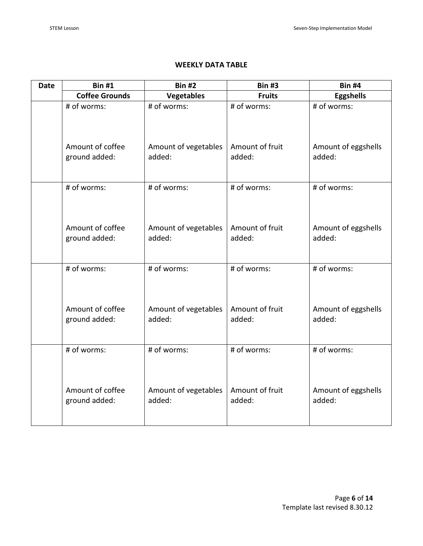# **WEEKLY DATA TABLE**

| <b>Date</b> | <b>Bin #1</b>                                    | <b>Bin #2</b>                                 | <b>Bin #3</b>                            | <b>Bin #4</b>                                |
|-------------|--------------------------------------------------|-----------------------------------------------|------------------------------------------|----------------------------------------------|
|             | <b>Coffee Grounds</b>                            | <b>Vegetables</b>                             | <b>Fruits</b>                            | <b>Eggshells</b>                             |
|             | # of worms:<br>Amount of coffee<br>ground added: | # of worms:<br>Amount of vegetables<br>added: | # of worms:<br>Amount of fruit<br>added: | # of worms:<br>Amount of eggshells<br>added: |
|             |                                                  |                                               |                                          |                                              |
|             | # of worms:<br>Amount of coffee<br>ground added: | # of worms:<br>Amount of vegetables<br>added: | # of worms:<br>Amount of fruit<br>added: | # of worms:<br>Amount of eggshells<br>added: |
|             | # of worms:                                      | # of worms:                                   | # of worms:                              | # of worms:                                  |
|             | Amount of coffee<br>ground added:                | Amount of vegetables<br>added:                | Amount of fruit<br>added:                | Amount of eggshells<br>added:                |
|             | # of worms:                                      | # of worms:                                   | # of worms:                              | # of worms:                                  |
|             | Amount of coffee<br>ground added:                | Amount of vegetables<br>added:                | Amount of fruit<br>added:                | Amount of eggshells<br>added:                |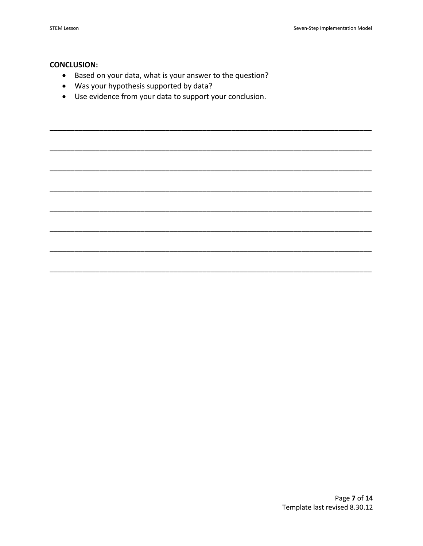#### **CONCLUSION:**

- Based on your data, what is your answer to the question?
- Was your hypothesis supported by data?
- Use evidence from your data to support your conclusion.

Page 7 of 14 Template last revised 8.30.12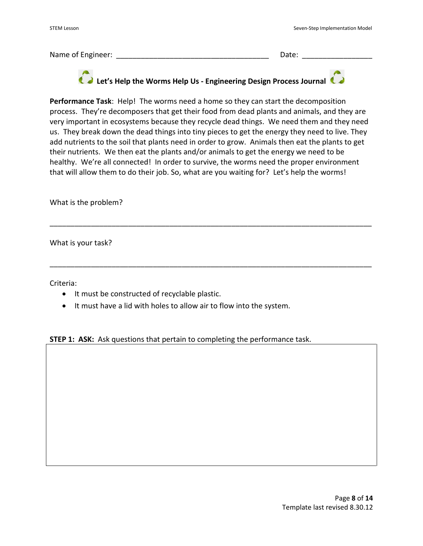Name of Engineer: \_\_\_\_\_\_\_\_\_\_\_\_\_\_\_\_\_\_\_\_\_\_\_\_\_\_\_\_\_\_\_\_\_\_\_\_\_ Date: \_\_\_\_\_\_\_\_\_\_\_\_\_\_\_\_\_

# **Let's Help the Worms Help Us - Engineering Design Process Journal**

**Performance Task**: Help! The worms need a home so they can start the decomposition process. They're decomposers that get their food from dead plants and animals, and they are very important in ecosystems because they recycle dead things. We need them and they need us. They break down the dead things into tiny pieces to get the energy they need to live. They add nutrients to the soil that plants need in order to grow. Animals then eat the plants to get their nutrients. We then eat the plants and/or animals to get the energy we need to be healthy. We're all connected! In order to survive, the worms need the proper environment that will allow them to do their job. So, what are you waiting for? Let's help the worms!

\_\_\_\_\_\_\_\_\_\_\_\_\_\_\_\_\_\_\_\_\_\_\_\_\_\_\_\_\_\_\_\_\_\_\_\_\_\_\_\_\_\_\_\_\_\_\_\_\_\_\_\_\_\_\_\_\_\_\_\_\_\_\_\_\_\_\_\_\_\_\_\_\_\_\_\_\_\_

\_\_\_\_\_\_\_\_\_\_\_\_\_\_\_\_\_\_\_\_\_\_\_\_\_\_\_\_\_\_\_\_\_\_\_\_\_\_\_\_\_\_\_\_\_\_\_\_\_\_\_\_\_\_\_\_\_\_\_\_\_\_\_\_\_\_\_\_\_\_\_\_\_\_\_\_\_\_

What is the problem?

What is your task?

Criteria:

- It must be constructed of recyclable plastic.
- It must have a lid with holes to allow air to flow into the system.

**STEP 1: ASK:** Ask questions that pertain to completing the performance task.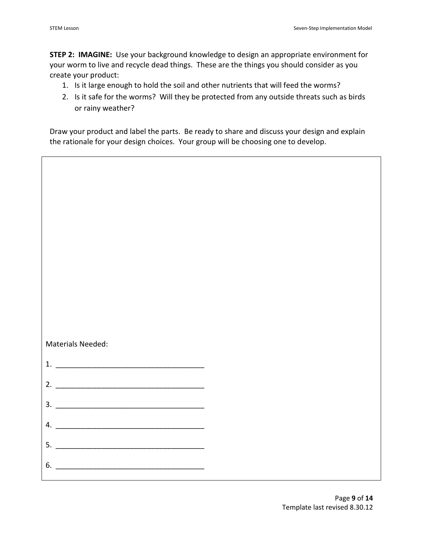**STEP 2: IMAGINE:** Use your background knowledge to design an appropriate environment for your worm to live and recycle dead things. These are the things you should consider as you create your product:

- 1. Is it large enough to hold the soil and other nutrients that will feed the worms?
- 2. Is it safe for the worms? Will they be protected from any outside threats such as birds or rainy weather?

Draw your product and label the parts. Be ready to share and discuss your design and explain the rationale for your design choices. Your group will be choosing one to develop.

| Materials Needed: |  |
|-------------------|--|
|                   |  |
|                   |  |
|                   |  |
|                   |  |
|                   |  |
|                   |  |
|                   |  |
| $4. \_$           |  |
| 6.                |  |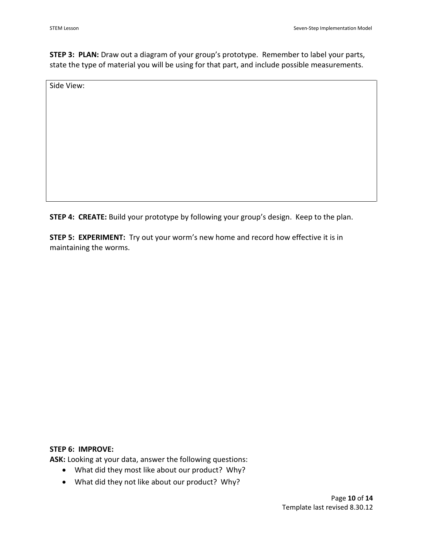**STEP 3: PLAN:** Draw out a diagram of your group's prototype. Remember to label your parts, state the type of material you will be using for that part, and include possible measurements.

Side View:

**STEP 4: CREATE:** Build your prototype by following your group's design. Keep to the plan.

**STEP 5: EXPERIMENT:** Try out your worm's new home and record how effective it is in maintaining the worms.

#### **STEP 6: IMPROVE:**

**ASK:** Looking at your data, answer the following questions:

- What did they most like about our product? Why?
- What did they not like about our product? Why?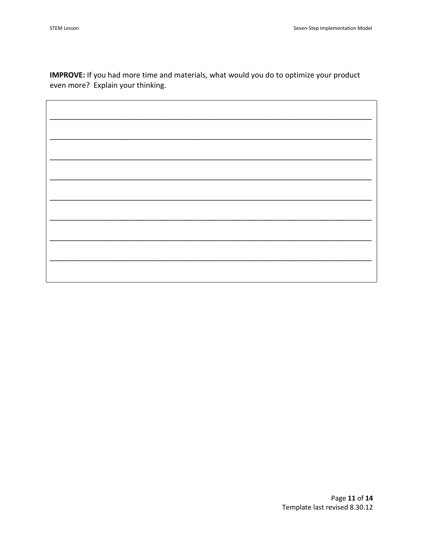IMPROVE: If you had more time and materials, what would you do to optimize your product even more? Explain your thinking.

Page 11 of 14 Template last revised 8.30.12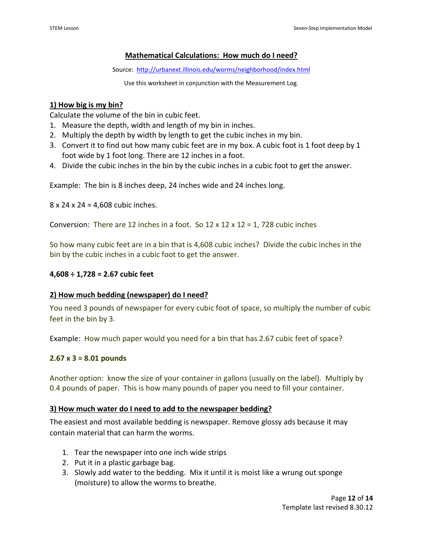# **Mathematical Calculations: How much do I need?**

Source: <http://urbanext.illinois.edu/worms/neighborhood/index.html>

Use this worksheet in conjunction with the Measurement Log.

#### **1) How big is my bin?**

Calculate the volume of the bin in cubic feet.

- 1. Measure the depth, width and length of my bin in inches.
- 2. Multiply the depth by width by length to get the cubic inches in my bin.
- 3. Convert it to find out how many cubic feet are in my box. A cubic foot is 1 foot deep by 1 foot wide by 1 foot long. There are 12 inches in a foot.
- 4. Divide the cubic inches in the bin by the cubic inches in a cubic foot to get the answer.

Example: The bin is 8 inches deep, 24 inches wide and 24 inches long.

8 x 24 x 24 = 4,608 cubic inches.

Conversion: There are 12 inches in a foot. So  $12 \times 12 \times 12 = 1$ , 728 cubic inches

So how many cubic feet are in a bin that is 4,608 cubic inches? Divide the cubic inches in the bin by the cubic inches in a cubic foot to get the answer.

#### **4,608 ÷ 1,728 = 2.67 cubic feet**

# **2) How much bedding (newspaper) do I need?**

You need 3 pounds of newspaper for every cubic foot of space, so multiply the number of cubic feet in the bin by 3.

Example: How much paper would you need for a bin that has 2.67 cubic feet of space?

#### **2.67 x 3 = 8.01 pounds**

Another option: know the size of your container in gallons (usually on the label). Multiply by 0.4 pounds of paper. This is how many pounds of paper you need to fill your container.

#### **3) How much water do I need to add to the newspaper bedding?**

The easiest and most available bedding is newspaper. Remove glossy ads because it may contain material that can harm the worms.

- 1. Tear the newspaper into one inch wide strips
- 2. Put it in a plastic garbage bag.
- 3. Slowly add water to the bedding. Mix it until it is moist like a wrung out sponge (moisture) to allow the worms to breathe.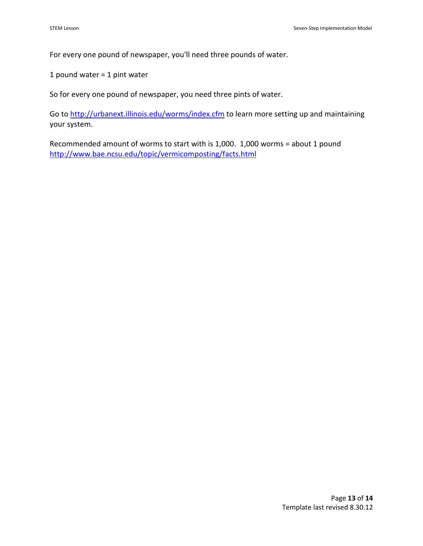For every one pound of newspaper, you'll need three pounds of water.

1 pound water = 1 pint water

So for every one pound of newspaper, you need three pints of water.

Go t[o http://urbanext.illinois.edu/worms/index.cfm](http://urbanext.illinois.edu/worms/index.cfm) to learn more setting up and maintaining your system.

Recommended amount of worms to start with is 1,000. 1,000 worms = about 1 pound <http://www.bae.ncsu.edu/topic/vermicomposting/facts.html>